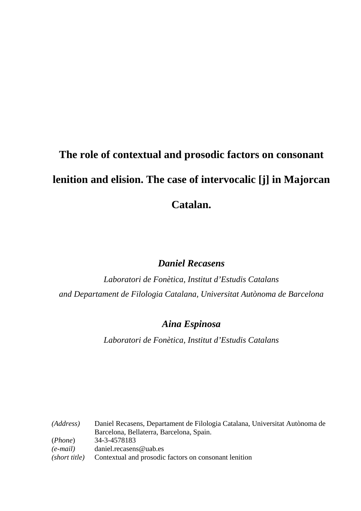# **The role of contextual and prosodic factors on consonant lenition and elision. The case of intervocalic [j] in Majorcan Catalan.**

# *Daniel Recasens*

*Laboratori de Fonètica, Institut d'Estudis Catalans and Departament de Filologia Catalana, Universitat Autònoma de Barcelona* 

# *Aina Espinosa*

*Laboratori de Fonètica, Institut d'Estudis Catalans* 

*(Address)* Daniel Recasens, Departament de Filologia Catalana, Universitat Autònoma de Barcelona, Bellaterra, Barcelona, Spain. (*Phone*) 34-3-4578183 *(e-mail)* daniel.recasens@uab.es *(short title)* Contextual and prosodic factors on consonant lenition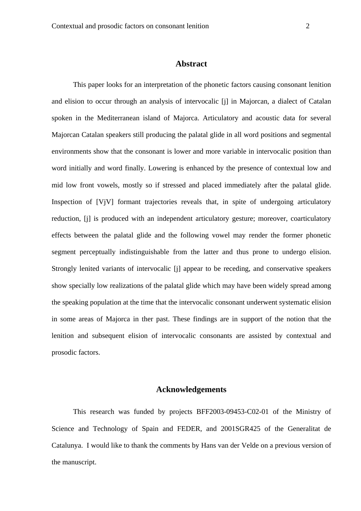## **Abstract**

 This paper looks for an interpretation of the phonetic factors causing consonant lenition and elision to occur through an analysis of intervocalic [j] in Majorcan, a dialect of Catalan spoken in the Mediterranean island of Majorca. Articulatory and acoustic data for several Majorcan Catalan speakers still producing the palatal glide in all word positions and segmental environments show that the consonant is lower and more variable in intervocalic position than word initially and word finally. Lowering is enhanced by the presence of contextual low and mid low front vowels, mostly so if stressed and placed immediately after the palatal glide. Inspection of [VjV] formant trajectories reveals that, in spite of undergoing articulatory reduction, [j] is produced with an independent articulatory gesture; moreover, coarticulatory effects between the palatal glide and the following vowel may render the former phonetic segment perceptually indistinguishable from the latter and thus prone to undergo elision. Strongly lenited variants of intervocalic [j] appear to be receding, and conservative speakers show specially low realizations of the palatal glide which may have been widely spread among the speaking population at the time that the intervocalic consonant underwent systematic elision in some areas of Majorca in ther past. These findings are in support of the notion that the lenition and subsequent elision of intervocalic consonants are assisted by contextual and prosodic factors.

## **Acknowledgements**

This research was funded by projects BFF2003-09453-C02-01 of the Ministry of Science and Technology of Spain and FEDER, and 2001SGR425 of the Generalitat de Catalunya. I would like to thank the comments by Hans van der Velde on a previous version of the manuscript.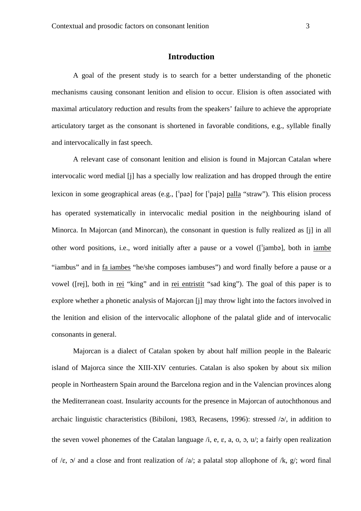## **Introduction**

 A goal of the present study is to search for a better understanding of the phonetic mechanisms causing consonant lenition and elision to occur. Elision is often associated with maximal articulatory reduction and results from the speakers' failure to achieve the appropriate articulatory target as the consonant is shortened in favorable conditions, e.g., syllable finally and intervocalically in fast speech.

 A relevant case of consonant lenition and elision is found in Majorcan Catalan where intervocalic word medial [j] has a specially low realization and has dropped through the entire lexicon in some geographical areas (e.g.,  $\lceil$  pa>l for  $\lceil$  pai>l palla "straw"). This elision process has operated systematically in intervocalic medial position in the neighbouring island of Minorca. In Majorcan (and Minorcan), the consonant in question is fully realized as [j] in all other word positions, i.e., word initially after a pause or a vowel (['jamba], both in iambe "iambus" and in fa iambes "he/she composes iambuses") and word finally before a pause or a vowel ([rej], both in rei "king" and in rei entristit "sad king"). The goal of this paper is to explore whether a phonetic analysis of Majorcan [j] may throw light into the factors involved in the lenition and elision of the intervocalic allophone of the palatal glide and of intervocalic consonants in general.

 Majorcan is a dialect of Catalan spoken by about half million people in the Balearic island of Majorca since the XIII-XIV centuries. Catalan is also spoken by about six milion people in Northeastern Spain around the Barcelona region and in the Valencian provinces along the Mediterranean coast. Insularity accounts for the presence in Majorcan of autochthonous and archaic linguistic characteristics (Bibiloni, 1983, Recasens, 1996): stressed  $\sqrt{a}$ , in addition to the seven vowel phonemes of the Catalan language  $\lambda$ , e, e, a, o, o,  $\mu$ , a fairly open realization of / $\varepsilon$ ,  $\alpha$ / and a close and front realization of /a/; a palatal stop allophone of /k, g/; word final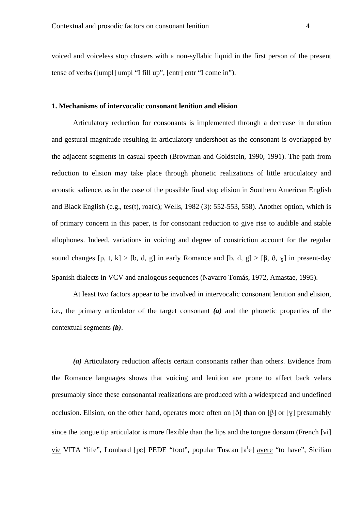voiced and voiceless stop clusters with a non-syllabic liquid in the first person of the present tense of verbs ([umpl] umpl "I fill up", [entr] entr "I come in").

#### **1. Mechanisms of intervocalic consonant lenition and elision**

Articulatory reduction for consonants is implemented through a decrease in duration and gestural magnitude resulting in articulatory undershoot as the consonant is overlapped by the adjacent segments in casual speech (Browman and Goldstein, 1990, 1991). The path from reduction to elision may take place through phonetic realizations of little articulatory and acoustic salience, as in the case of the possible final stop elision in Southern American English and Black English (e.g., tes(t), roa(d); Wells, 1982 (3): 552-553, 558). Another option, which is of primary concern in this paper, is for consonant reduction to give rise to audible and stable allophones. Indeed, variations in voicing and degree of constriction account for the regular sound changes [p, t, k] > [b, d, g] in early Romance and [b, d, g] > [ $\beta$ ,  $\delta$ ,  $\gamma$ ] in present-day Spanish dialects in VCV and analogous sequences (Navarro Tomás, 1972, Amastae, 1995).

 At least two factors appear to be involved in intervocalic consonant lenition and elision, i.e., the primary articulator of the target consonant *(a)* and the phonetic properties of the contextual segments *(b)*.

*(a)* Articulatory reduction affects certain consonants rather than others. Evidence from the Romance languages shows that voicing and lenition are prone to affect back velars presumably since these consonantal realizations are produced with a widespread and undefined occlusion. Elision, on the other hand, operates more often on  $\delta$  than on  $\delta$  or  $\gamma$  presumably since the tongue tip articulator is more flexible than the lips and the tongue dorsum (French [vi] vie VITA "life", Lombard [pɛ] PEDE "foot", popular Tuscan [a<sup>l</sup>e] avere "to have", Sicilian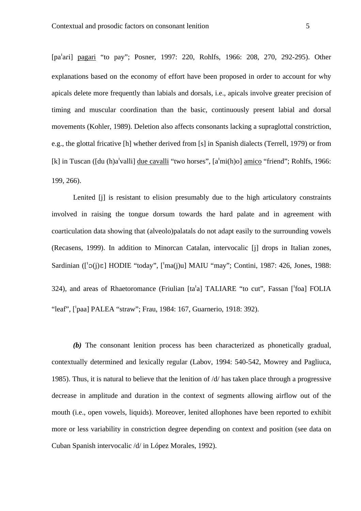[pa<sup>t</sup>ari] pagari "to pay"; Posner, 1997: 220, Rohlfs, 1966: 208, 270, 292-295). Other explanations based on the economy of effort have been proposed in order to account for why apicals delete more frequently than labials and dorsals, i.e., apicals involve greater precision of timing and muscular coordination than the basic, continuously present labial and dorsal movements (Kohler, 1989). Deletion also affects consonants lacking a supraglottal constriction, e.g., the glottal fricative [h] whether derived from [s] in Spanish dialects (Terrell, 1979) or from [k] in Tuscan ([du (h)a<sup>t</sup>valli] due cavalli "two horses",  $[a'mi(h)o]$  amico "friend"; Rohlfs, 1966: 199, 266).

 Lenited [j] is resistant to elision presumably due to the high articulatory constraints involved in raising the tongue dorsum towards the hard palate and in agreement with coarticulation data showing that (alveolo)palatals do not adapt easily to the surrounding vowels (Recasens, 1999). In addition to Minorcan Catalan, intervocalic [j] drops in Italian zones, Sardinian  $(I<sup>1</sup>Q(i)\epsilon]$  HODIE "today",  $[<sup>1</sup>ma(i)u]$  MAIU "may"; Contini, 1987: 426, Jones, 1988: 324), and areas of Rhaetoromance (Friulian [ta'a] TALIARE "to cut", Fassan ['foa] FOLIA "leaf", ['paa] PALEA "straw"; Frau, 1984: 167, Guarnerio, 1918: 392).

 *(b)* The consonant lenition process has been characterized as phonetically gradual, contextually determined and lexically regular (Labov, 1994: 540-542, Mowrey and Pagliuca, 1985). Thus, it is natural to believe that the lenition of /d/ has taken place through a progressive decrease in amplitude and duration in the context of segments allowing airflow out of the mouth (i.e., open vowels, liquids). Moreover, lenited allophones have been reported to exhibit more or less variability in constriction degree depending on context and position (see data on Cuban Spanish intervocalic /d/ in López Morales, 1992).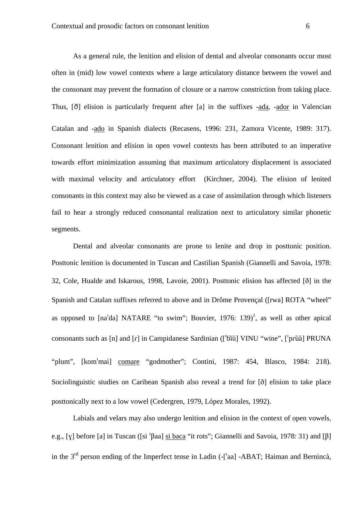As a general rule, the lenition and elision of dental and alveolar consonants occur most often in (mid) low vowel contexts where a large articulatory distance between the vowel and the consonant may prevent the formation of closure or a narrow constriction from taking place. Thus,  $\delta$ ] elision is particularly frequent after [a] in the suffixes -ada, -ador in Valencian Catalan and -ado in Spanish dialects (Recasens, 1996: 231, Zamora Vicente, 1989: 317). Consonant lenition and elision in open vowel contexts has been attributed to an imperative towards effort minimization assuming that maximum articulatory displacement is associated with maximal velocity and articulatory effort (Kirchner, 2004). The elision of lenited consonants in this context may also be viewed as a case of assimilation through which listeners fail to hear a strongly reduced consonantal realization next to articulatory similar phonetic segments.

 Dental and alveolar consonants are prone to lenite and drop in posttonic position. Posttonic lenition is documented in Tuscan and Castilian Spanish (Giannelli and Savoia, 1978: 32, Cole, Hualde and Iskarous, 1998, Lavoie, 2001). Posttonic elision has affected [ $\delta$ ] in the Spanish and Catalan suffixes referred to above and in Drôme Provençal ([rwa] ROTA "wheel" as opposed to  $[na<sup>1</sup>da] NATARE$  "to swim"; Bouvier, 1976: 139)<sup>1</sup>, as well as other apical consonants such as [n] and [r] in Campidanese Sardinian (['bĩŭ] VINU "wine", ['prū̃ă] PRUNA "plum", [kom<sup>1</sup>mai] comare "godmother"; Contini, 1987: 454, Blasco, 1984: 218). Sociolinguistic studies on Caribean Spanish also reveal a trend for [ $\delta$ ] elision to take place posttonically next to a low vowel (Cedergren, 1979, López Morales, 1992).

 Labials and velars may also undergo lenition and elision in the context of open vowels, e.g., [ $\chi$ ] before [a] in Tuscan ([si  $\frac{1}{2}$ ] si baca "it rots"; Giannelli and Savoia, 1978: 31) and [ $\beta$ ] in the  $3<sup>rd</sup>$  person ending of the Imperfect tense in Ladin (-['aa] -ABAT; Haiman and Bernincà,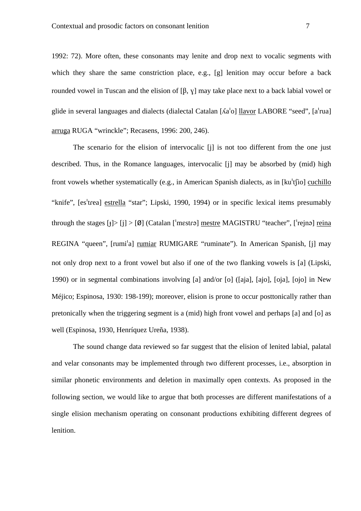1992: 72). More often, these consonants may lenite and drop next to vocalic segments with which they share the same constriction place, e.g., [g] lenition may occur before a back rounded vowel in Tuscan and the elision of [ $\beta$ , v] may take place next to a back labial vowel or glide in several languages and dialects (dialectal Catalan  $[Aa'o]$  llavor LABORE "seed",  $[a'rua]$ arruga RUGA "wrinckle"; Recasens, 1996: 200, 246).

 The scenario for the elision of intervocalic [j] is not too different from the one just described. Thus, in the Romance languages, intervocalic [j] may be absorbed by (mid) high front vowels whether systematically (e.g., in American Spanish dialects, as in  $[ku^t(io)]$  cuchillo "knife", [es<sup>t</sup>trea] estrella "star"; Lipski, 1990, 1994) or in specific lexical items presumably through the stages  $\lceil \frac{1}{2} \rceil$   $\lceil \frac{1}{2} \rceil$  (Catalan ['mestrə] mestre MAGISTRU "teacher", ['rejnə] reina REGINA "queen", [rumi<sup>1</sup>a] rumiar RUMIGARE "ruminate"). In American Spanish, [j] may not only drop next to a front vowel but also if one of the two flanking vowels is [a] (Lipski, 1990) or in segmental combinations involving [a] and/or [o] ([aja], [ajo], [oja], [ojo] in New Méjico; Espinosa, 1930: 198-199); moreover, elision is prone to occur posttonically rather than pretonically when the triggering segment is a (mid) high front vowel and perhaps [a] and [o] as well (Espinosa, 1930, Henríquez Ureña, 1938).

 The sound change data reviewed so far suggest that the elision of lenited labial, palatal and velar consonants may be implemented through two different processes, i.e., absorption in similar phonetic environments and deletion in maximally open contexts. As proposed in the following section, we would like to argue that both processes are different manifestations of a single elision mechanism operating on consonant productions exhibiting different degrees of lenition.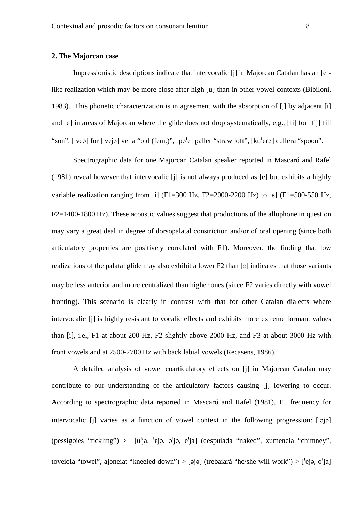#### **2. The Majorcan case**

 Impressionistic descriptions indicate that intervocalic [j] in Majorcan Catalan has an [e] like realization which may be more close after high [u] than in other vowel contexts (Bibiloni, 1983). This phonetic characterization is in agreement with the absorption of [j] by adjacent [i] and [e] in areas of Majorcan where the glide does not drop systematically, e.g., [fi] for [fij] fill "son", ['veə] for ['vejə] vella "old (fem.)", [pə'e] paller "straw loft", [ku'eɾə] cullera "spoon".

 Spectrographic data for one Majorcan Catalan speaker reported in Mascaró and Rafel (1981) reveal however that intervocalic [j] is not always produced as [e] but exhibits a highly variable realization ranging from [i] (F1=300 Hz, F2=2000-2200 Hz) to [ $\varepsilon$ ] (F1=500-550 Hz, F2=1400-1800 Hz). These acoustic values suggest that productions of the allophone in question may vary a great deal in degree of dorsopalatal constriction and/or of oral opening (since both articulatory properties are positively correlated with F1). Moreover, the finding that low realizations of the palatal glide may also exhibit a lower  $F2$  than  $\lceil \varepsilon \rceil$  indicates that those variants may be less anterior and more centralized than higher ones (since F2 varies directly with vowel fronting). This scenario is clearly in contrast with that for other Catalan dialects where intervocalic [j] is highly resistant to vocalic effects and exhibits more extreme formant values than [i], i.e., F1 at about 200 Hz, F2 slightly above 2000 Hz, and F3 at about 3000 Hz with front vowels and at 2500-2700 Hz with back labial vowels (Recasens, 1986).

 A detailed analysis of vowel coarticulatory effects on [j] in Majorcan Catalan may contribute to our understanding of the articulatory factors causing [j] lowering to occur. According to spectrographic data reported in Mascaró and Rafel (1981), F1 frequency for intervocalic [j] varies as a function of vowel context in the following progression:  $\lceil \cdot \cdot j \rangle$ ] (pessigoies "tickling") >  $[u^{\dagger}]a, \text{ }^{i}e^{\dagger}a, \text{ } e^{\dagger}a]$  (despuiada "naked", xumeneia "chimney", toveiola "towel", ajoneiat "kneeled down") > [əjə] (trebaiarà "he/she will work") > [ $'e$ jə, o $'$ ja]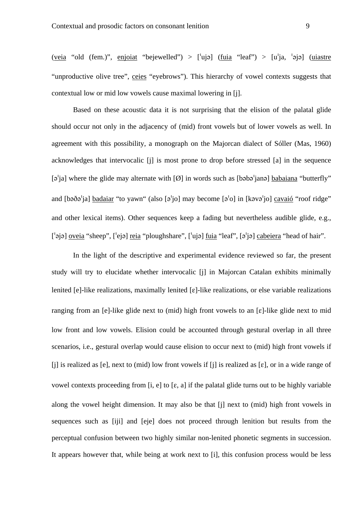(veia "old (fem.)", enjoiat "bejewelled") > ['ujə] (fuia "leaf") > [u<sup>'</sup>ja, 'əjə] (uiastre "unproductive olive tree", ceies "eyebrows"). This hierarchy of vowel contexts suggests that contextual low or mid low vowels cause maximal lowering in [j].

 Based on these acoustic data it is not surprising that the elision of the palatal glide should occur not only in the adjacency of (mid) front vowels but of lower vowels as well. In agreement with this possibility, a monograph on the Majorcan dialect of Sóller (Mas, 1960) acknowledges that intervocalic [j] is most prone to drop before stressed [a] in the sequence  $\lceil 9 \rceil$  ial where the glide may alternate with  $\lceil \varnothing \rceil$  in words such as  $\lceil \varnothing \varnothing \rceil$  babaiana "butterfly" and  $\beta$ jo] badaiar "to yawn" (also  $\beta$ <sup>t</sup>jo] may become  $\beta$ <sup>t</sup>o] in  $\beta$ [kəvə<sup>t</sup>jo] cavaió "roof ridge" and other lexical items). Other sequences keep a fading but nevertheless audible glide, e.g.,  $[\phi]$  oveia "sheep",  $[\phi]$  reia "ploughshare",  $[\phi]$  reia "leaf",  $[\phi']$  cabeiera "head of hair".

 In the light of the descriptive and experimental evidence reviewed so far, the present study will try to elucidate whether intervocalic [j] in Majorcan Catalan exhibits minimally lenited  $[e]$ -like realizations, maximally lenited  $[e]$ -like realizations, or else variable realizations ranging from an [e]-like glide next to (mid) high front vowels to an  $[\varepsilon]$ -like glide next to mid low front and low vowels. Elision could be accounted through gestural overlap in all three scenarios, i.e., gestural overlap would cause elision to occur next to (mid) high front vowels if [i] is realized as [e], next to (mid) low front vowels if [i] is realized as  $[\epsilon]$ , or in a wide range of vowel contexts proceeding from [i, e] to  $[\varepsilon, a]$  if the palatal glide turns out to be highly variable along the vowel height dimension. It may also be that [j] next to (mid) high front vowels in sequences such as [iji] and [eje] does not proceed through lenition but results from the perceptual confusion between two highly similar non-lenited phonetic segments in succession. It appears however that, while being at work next to [i], this confusion process would be less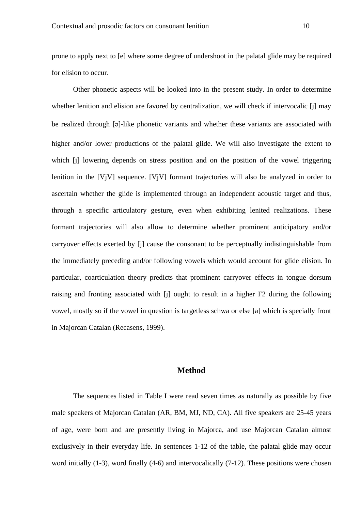prone to apply next to [e] where some degree of undershoot in the palatal glide may be required for elision to occur.

 Other phonetic aspects will be looked into in the present study. In order to determine whether lenition and elision are favored by centralization, we will check if intervocalic [j] may be realized through [a]-like phonetic variants and whether these variants are associated with higher and/or lower productions of the palatal glide. We will also investigate the extent to which [j] lowering depends on stress position and on the position of the vowel triggering lenition in the [VjV] sequence. [VjV] formant trajectories will also be analyzed in order to ascertain whether the glide is implemented through an independent acoustic target and thus, through a specific articulatory gesture, even when exhibiting lenited realizations. These formant trajectories will also allow to determine whether prominent anticipatory and/or carryover effects exerted by [j] cause the consonant to be perceptually indistinguishable from the immediately preceding and/or following vowels which would account for glide elision. In particular, coarticulation theory predicts that prominent carryover effects in tongue dorsum raising and fronting associated with [j] ought to result in a higher F2 during the following vowel, mostly so if the vowel in question is targetless schwa or else [a] which is specially front in Majorcan Catalan (Recasens, 1999).

## **Method**

 The sequences listed in Table I were read seven times as naturally as possible by five male speakers of Majorcan Catalan (AR, BM, MJ, ND, CA). All five speakers are 25-45 years of age, were born and are presently living in Majorca, and use Majorcan Catalan almost exclusively in their everyday life. In sentences 1-12 of the table, the palatal glide may occur word initially (1-3), word finally (4-6) and intervocalically (7-12). These positions were chosen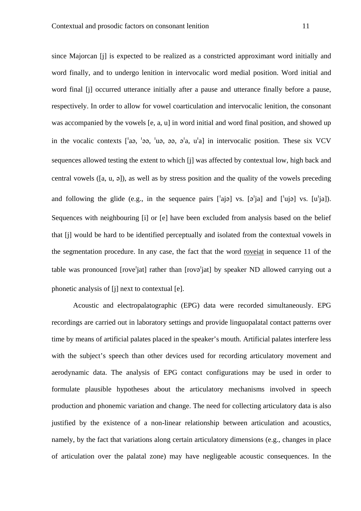since Majorcan [j] is expected to be realized as a constricted approximant word initially and word finally, and to undergo lenition in intervocalic word medial position. Word initial and word final [j] occurred utterance initially after a pause and utterance finally before a pause, respectively. In order to allow for vowel coarticulation and intervocalic lenition, the consonant was accompanied by the vowels [e, a, u] in word initial and word final position, and showed up in the vocalic contexts  $\lceil a, \cdot \rangle$  ,  $\lceil a, \cdot \rangle$  a,  $a, \cdot \rangle$  a,  $a^{\dagger}$  in intervocalic position. These six VCV sequences allowed testing the extent to which [j] was affected by contextual low, high back and central vowels ( $[a, u, a]$ ), as well as by stress position and the quality of the vowels preceding and following the glide (e.g., in the sequence pairs  $\lceil \text{a}_i \rceil$  vs.  $\lceil 2 \rceil$  and  $\lceil \text{u}_i \rceil$  vs.  $\lceil u_i \rceil$ . Sequences with neighbouring [i] or [e] have been excluded from analysis based on the belief that [j] would be hard to be identified perceptually and isolated from the contextual vowels in the segmentation procedure. In any case, the fact that the word roveiat in sequence 11 of the table was pronounced [rove<sup>l</sup>jat] rather than [rovə<sup>l</sup>jat] by speaker ND allowed carrying out a phonetic analysis of [j] next to contextual [e].

 Acoustic and electropalatographic (EPG) data were recorded simultaneously. EPG recordings are carried out in laboratory settings and provide linguopalatal contact patterns over time by means of artificial palates placed in the speaker's mouth. Artificial palates interfere less with the subject's speech than other devices used for recording articulatory movement and aerodynamic data. The analysis of EPG contact configurations may be used in order to formulate plausible hypotheses about the articulatory mechanisms involved in speech production and phonemic variation and change. The need for collecting articulatory data is also justified by the existence of a non-linear relationship between articulation and acoustics, namely, by the fact that variations along certain articulatory dimensions (e.g., changes in place of articulation over the palatal zone) may have negligeable acoustic consequences. In the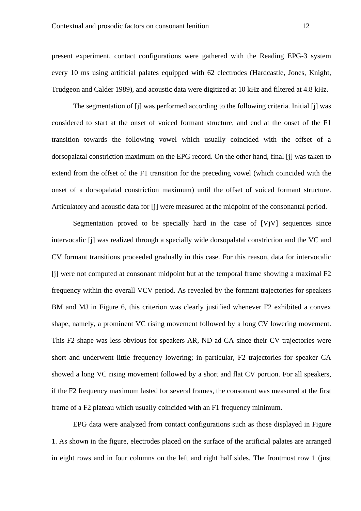present experiment, contact configurations were gathered with the Reading EPG-3 system every 10 ms using artificial palates equipped with 62 electrodes (Hardcastle, Jones, Knight, Trudgeon and Calder 1989), and acoustic data were digitized at 10 kHz and filtered at 4.8 kHz.

 The segmentation of [j] was performed according to the following criteria. Initial [j] was considered to start at the onset of voiced formant structure, and end at the onset of the F1 transition towards the following vowel which usually coincided with the offset of a dorsopalatal constriction maximum on the EPG record. On the other hand, final [j] was taken to extend from the offset of the F1 transition for the preceding vowel (which coincided with the onset of a dorsopalatal constriction maximum) until the offset of voiced formant structure. Articulatory and acoustic data for [j] were measured at the midpoint of the consonantal period.

Segmentation proved to be specially hard in the case of  $[V|V]$  sequences since intervocalic [j] was realized through a specially wide dorsopalatal constriction and the VC and CV formant transitions proceeded gradually in this case. For this reason, data for intervocalic [j] were not computed at consonant midpoint but at the temporal frame showing a maximal F2 frequency within the overall VCV period. As revealed by the formant trajectories for speakers BM and MJ in Figure 6, this criterion was clearly justified whenever F2 exhibited a convex shape, namely, a prominent VC rising movement followed by a long CV lowering movement. This F2 shape was less obvious for speakers AR, ND ad CA since their CV trajectories were short and underwent little frequency lowering; in particular, F2 trajectories for speaker CA showed a long VC rising movement followed by a short and flat CV portion. For all speakers, if the F2 frequency maximum lasted for several frames, the consonant was measured at the first frame of a F2 plateau which usually coincided with an F1 frequency minimum.

 EPG data were analyzed from contact configurations such as those displayed in Figure 1. As shown in the figure, electrodes placed on the surface of the artificial palates are arranged in eight rows and in four columns on the left and right half sides. The frontmost row 1 (just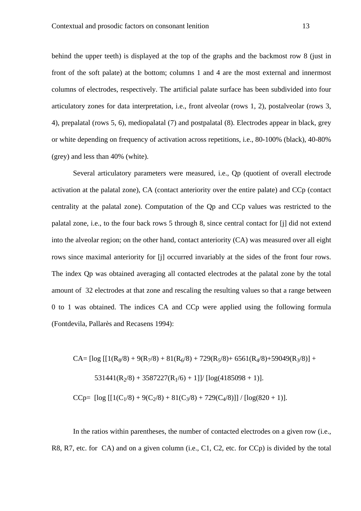behind the upper teeth) is displayed at the top of the graphs and the backmost row 8 (just in front of the soft palate) at the bottom; columns 1 and 4 are the most external and innermost columns of electrodes, respectively. The artificial palate surface has been subdivided into four articulatory zones for data interpretation, i.e., front alveolar (rows 1, 2), postalveolar (rows 3, 4), prepalatal (rows 5, 6), mediopalatal (7) and postpalatal (8). Electrodes appear in black, grey or white depending on frequency of activation across repetitions, i.e., 80-100% (black), 40-80% (grey) and less than 40% (white).

 Several articulatory parameters were measured, i.e., Qp (quotient of overall electrode activation at the palatal zone), CA (contact anteriority over the entire palate) and CCp (contact centrality at the palatal zone). Computation of the Qp and CCp values was restricted to the palatal zone, i.e., to the four back rows 5 through 8, since central contact for [j] did not extend into the alveolar region; on the other hand, contact anteriority (CA) was measured over all eight rows since maximal anteriority for [j] occurred invariably at the sides of the front four rows. The index Qp was obtained averaging all contacted electrodes at the palatal zone by the total amount of 32 electrodes at that zone and rescaling the resulting values so that a range between 0 to 1 was obtained. The indices CA and CCp were applied using the following formula (Fontdevila, Pallarès and Recasens 1994):

$$
CA = [log [[1(R8/8) + 9(R7/8) + 81(R6/8) + 729(R5/8) + 6561(R4/8) + 59049(R3/8)] +
$$
  
\n531441(R<sub>2</sub>/8) + 3587227(R<sub>1</sub>/6) + 1]]/ [log(4185098 + 1)].  
\nCCp= [log [[1(C<sub>1</sub>/8) + 9(C<sub>2</sub>/8) + 81(C<sub>3</sub>/8) + 729(C<sub>4</sub>/8)]] / [log(820 + 1)].

In the ratios within parentheses, the number of contacted electrodes on a given row (i.e., R8, R7, etc. for CA) and on a given column (i.e., C1, C2, etc. for CCp) is divided by the total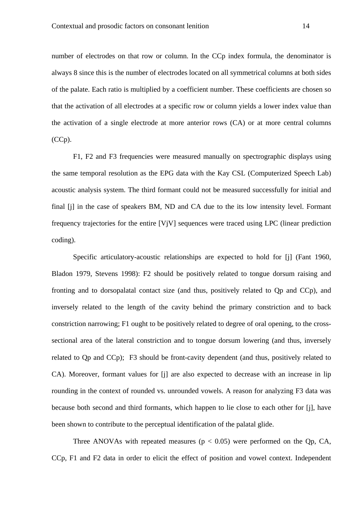number of electrodes on that row or column. In the CCp index formula, the denominator is always 8 since this is the number of electrodes located on all symmetrical columns at both sides of the palate. Each ratio is multiplied by a coefficient number. These coefficients are chosen so that the activation of all electrodes at a specific row or column yields a lower index value than the activation of a single electrode at more anterior rows (CA) or at more central columns (CCp).

F1, F2 and F3 frequencies were measured manually on spectrographic displays using the same temporal resolution as the EPG data with the Kay CSL (Computerized Speech Lab) acoustic analysis system. The third formant could not be measured successfully for initial and final [j] in the case of speakers BM, ND and CA due to the its low intensity level. Formant frequency trajectories for the entire [VjV] sequences were traced using LPC (linear prediction coding).

Specific articulatory-acoustic relationships are expected to hold for [j] (Fant 1960, Bladon 1979, Stevens 1998): F2 should be positively related to tongue dorsum raising and fronting and to dorsopalatal contact size (and thus, positively related to Qp and CCp), and inversely related to the length of the cavity behind the primary constriction and to back constriction narrowing; F1 ought to be positively related to degree of oral opening, to the crosssectional area of the lateral constriction and to tongue dorsum lowering (and thus, inversely related to Qp and CCp);F3 should be front-cavity dependent (and thus, positively related to CA). Moreover, formant values for [j] are also expected to decrease with an increase in lip rounding in the context of rounded vs. unrounded vowels. A reason for analyzing F3 data was because both second and third formants, which happen to lie close to each other for [j], have been shown to contribute to the perceptual identification of the palatal glide.

Three ANOVAs with repeated measures ( $p < 0.05$ ) were performed on the Qp, CA, CCp, F1 and F2 data in order to elicit the effect of position and vowel context. Independent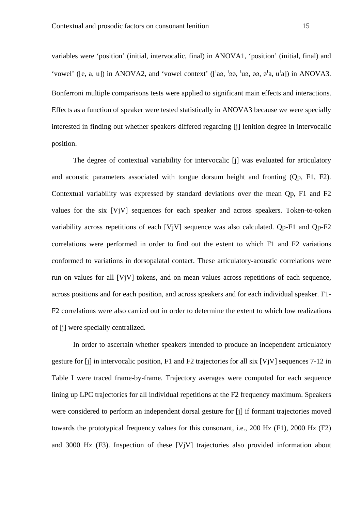variables were 'position' (initial, intervocalic, final) in ANOVA1, 'position' (initial, final) and 'vowel' ([e, a, u]) in ANOVA2, and 'vowel context' ( $\lceil \text{aa}, \text{ba}, \text{ba}, \text{ba}, \text{ba}, \text{ba} \rceil$ ) in ANOVA3. Bonferroni multiple comparisons tests were applied to significant main effects and interactions. Effects as a function of speaker were tested statistically in ANOVA3 because we were specially interested in finding out whether speakers differed regarding [j] lenition degree in intervocalic position.

 The degree of contextual variability for intervocalic [j] was evaluated for articulatory and acoustic parameters associated with tongue dorsum height and fronting (Qp, F1, F2). Contextual variability was expressed by standard deviations over the mean Qp, F1 and F2 values for the six [VjV] sequences for each speaker and across speakers. Token-to-token variability across repetitions of each [VjV] sequence was also calculated. Qp-F1 and Qp-F2 correlations were performed in order to find out the extent to which F1 and F2 variations conformed to variations in dorsopalatal contact. These articulatory-acoustic correlations were run on values for all [VjV] tokens, and on mean values across repetitions of each sequence, across positions and for each position, and across speakers and for each individual speaker. F1- F2 correlations were also carried out in order to determine the extent to which low realizations of [j] were specially centralized.

 In order to ascertain whether speakers intended to produce an independent articulatory gesture for [j] in intervocalic position, F1 and F2 trajectories for all six [VjV] sequences 7-12 in Table I were traced frame-by-frame. Trajectory averages were computed for each sequence lining up LPC trajectories for all individual repetitions at the F2 frequency maximum. Speakers were considered to perform an independent dorsal gesture for [j] if formant trajectories moved towards the prototypical frequency values for this consonant, i.e., 200 Hz (F1), 2000 Hz (F2) and 3000 Hz (F3). Inspection of these [VjV] trajectories also provided information about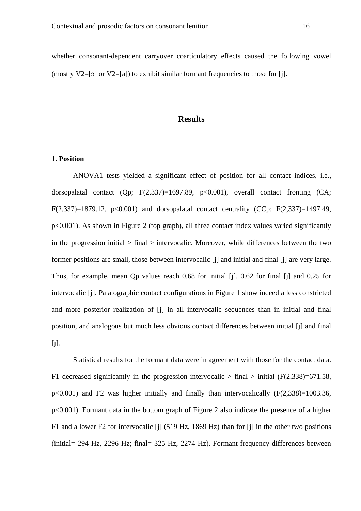whether consonant-dependent carryover coarticulatory effects caused the following vowel (mostly V2=[a] or V2=[a]) to exhibit similar formant frequencies to those for [j].

#### **Results**

#### **1. Position**

 ANOVA1 tests yielded a significant effect of position for all contact indices, i.e., dorsopalatal contact (Op:  $F(2,337)=1697.89$ ,  $p<0.001$ ), overall contact fronting (CA; F(2,337)=1879.12,  $p<0.001$ ) and dorsopalatal contact centrality (CCp; F(2,337)=1497.49, p<0.001). As shown in Figure 2 (top graph), all three contact index values varied significantly in the progression initial  $>$  final  $>$  intervocalic. Moreover, while differences between the two former positions are small, those between intervocalic [j] and initial and final [j] are very large. Thus, for example, mean Qp values reach 0.68 for initial [j], 0.62 for final [j] and 0.25 for intervocalic [j]. Palatographic contact configurations in Figure 1 show indeed a less constricted and more posterior realization of [j] in all intervocalic sequences than in initial and final position, and analogous but much less obvious contact differences between initial [j] and final [j].

 Statistical results for the formant data were in agreement with those for the contact data. F1 decreased significantly in the progression intervocalic  $>$  final  $>$  initial (F(2,338)=671.58, p<0.001) and F2 was higher initially and finally than intervocalically (F(2,338)=1003.36, p<0.001). Formant data in the bottom graph of Figure 2 also indicate the presence of a higher F1 and a lower F2 for intervocalic [j] (519 Hz, 1869 Hz) than for [j] in the other two positions (initial= 294 Hz, 2296 Hz; final= 325 Hz, 2274 Hz). Formant frequency differences between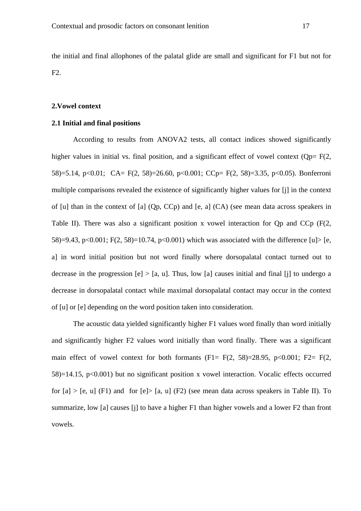the initial and final allophones of the palatal glide are small and significant for F1 but not for F2.

#### **2.Vowel context**

## **2.1 Initial and final positions**

According to results from ANOVA2 tests, all contact indices showed significantly higher values in initial vs. final position, and a significant effect of vowel context ( $Op= F(2,$ 58)=5.14, p<0.01; CA= F(2, 58)=26.60, p<0.001; CCp= F(2, 58)=3.35, p<0.05). Bonferroni multiple comparisons revealed the existence of significantly higher values for [j] in the context of [u] than in the context of [a] (Qp, CCp) and [e, a] (CA) (see mean data across speakers in Table II). There was also a significant position x vowel interaction for Qp and CCp (F(2, 58)=9.43, p<0.001; F(2, 58)=10.74, p<0.001) which was associated with the difference [u]> [e, a] in word initial position but not word finally where dorsopalatal contact turned out to decrease in the progression  $[e] > [a, u]$ . Thus, low [a] causes initial and final [j] to undergo a decrease in dorsopalatal contact while maximal dorsopalatal contact may occur in the context of [u] or [e] depending on the word position taken into consideration.

The acoustic data yielded significantly higher F1 values word finally than word initially and significantly higher F2 values word initially than word finally. There was a significant main effect of vowel context for both formants  $(F1 = F(2, 58)=28.95, p<0.001; F2= F(2,$  $58$ )=14.15, p<0.001) but no significant position x vowel interaction. Vocalic effects occurred for  $[a] > [e, u]$  (F1) and for  $[e] > [a, u]$  (F2) (see mean data across speakers in Table II). To summarize, low [a] causes [j] to have a higher F1 than higher vowels and a lower F2 than front vowels.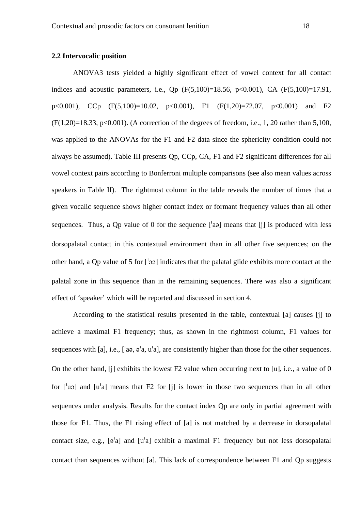#### **2.2 Intervocalic position**

 ANOVA3 tests yielded a highly significant effect of vowel context for all contact indices and acoustic parameters, i.e., Qp  $(F(5,100)=18.56, p<0.001)$ , CA  $(F(5,100)=17.91,$ p<0.001), CCp (F(5,100)=10.02, p<0.001), F1 (F(1,20)=72.07, p<0.001) and F2  $(F(1,20)=18.33, p<0.001)$ . (A correction of the degrees of freedom, i.e., 1, 20 rather than 5,100, was applied to the ANOVAs for the F1 and F2 data since the sphericity condition could not always be assumed). Table III presents Qp, CCp, CA, F1 and F2 significant differences for all vowel context pairs according to Bonferroni multiple comparisons (see also mean values across speakers in Table II). The rightmost column in the table reveals the number of times that a given vocalic sequence shows higher contact index or formant frequency values than all other sequences. Thus, a Op value of 0 for the sequence  $\lceil a\rceil$  means that  $\lceil i \rceil$  is produced with less dorsopalatal contact in this contextual environment than in all other five sequences; on the other hand, a Qp value of 5 for  $\lceil 39 \rceil$  indicates that the palatal glide exhibits more contact at the palatal zone in this sequence than in the remaining sequences. There was also a significant effect of 'speaker' which will be reported and discussed in section 4.

According to the statistical results presented in the table, contextual [a] causes [j] to achieve a maximal F1 frequency; thus, as shown in the rightmost column, F1 values for sequences with [a], i.e.,  $\lceil a\rangle$  a,  $a^{\dagger}a$ ,  $a^{\dagger}a$ ], are consistently higher than those for the other sequences. On the other hand, [j] exhibits the lowest F2 value when occurring next to [u], i.e., a value of 0 for  $\lceil \log \eta \rceil$  and  $\lceil \eta \rceil$  means that F2 for  $\lceil \eta \rceil$  is lower in those two sequences than in all other sequences under analysis. Results for the contact index Qp are only in partial agreement with those for F1. Thus, the F1 rising effect of [a] is not matched by a decrease in dorsopalatal contact size, e.g.,  $[\varphi^{\dagger}a]$  and  $[u^{\dagger}a]$  exhibit a maximal F1 frequency but not less dorsopalatal contact than sequences without [a]. This lack of correspondence between F1 and Qp suggests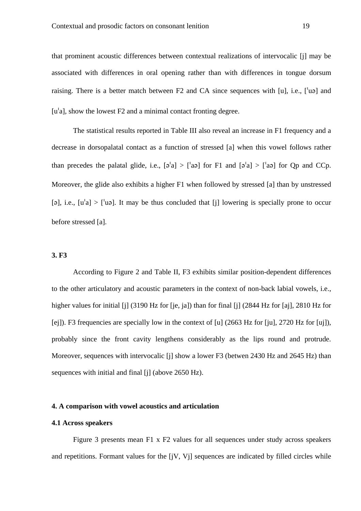that prominent acoustic differences between contextual realizations of intervocalic [j] may be associated with differences in oral opening rather than with differences in tongue dorsum raising. There is a better match between  $F2$  and  $CA$  since sequences with [u], i.e., [ $'$ u $\varphi$ ] and  $[u^{\dagger}a]$ , show the lowest F2 and a minimal contact fronting degree.

 The statistical results reported in Table III also reveal an increase in F1 frequency and a decrease in dorsopalatal contact as a function of stressed [a] when this vowel follows rather than precedes the palatal glide, i.e.,  $[\varphi^{\dagger}a] > [\varphi^{\dagger}a]$  for F1 and  $[\varphi^{\dagger}a] > [\varphi^{\dagger}a]$  for Op and CCp. Moreover, the glide also exhibits a higher F1 when followed by stressed [a] than by unstressed [a], i.e.,  $[u^{\dagger}a] > [u^{\dagger}a]$ . It may be thus concluded that [i] lowering is specially prone to occur before stressed [a].

#### **3. F3**

According to Figure 2 and Table II, F3 exhibits similar position-dependent differences to the other articulatory and acoustic parameters in the context of non-back labial vowels, i.e., higher values for initial [j] (3190 Hz for [je, ja]) than for final [j] (2844 Hz for [aj], 2810 Hz for [ej]). F3 frequencies are specially low in the context of [u] (2663 Hz for [ju], 2720 Hz for [uj]), probably since the front cavity lengthens considerably as the lips round and protrude. Moreover, sequences with intervocalic [j] show a lower F3 (betwen 2430 Hz and 2645 Hz) than sequences with initial and final [j] (above 2650 Hz).

#### **4. A comparison with vowel acoustics and articulation**

## **4.1 Across speakers**

Figure 3 presents mean F1 x F2 values for all sequences under study across speakers and repetitions. Formant values for the [jV, Vj] sequences are indicated by filled circles while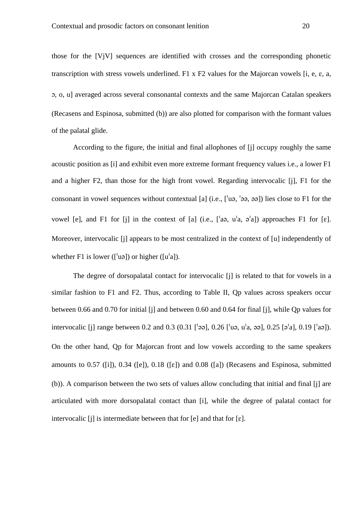those for the [VjV] sequences are identified with crosses and the corresponding phonetic transcription with stress vowels underlined. F1 x F2 values for the Majorcan vowels [i, e,  $\varepsilon$ , a, , o, u] averaged across several consonantal contexts and the same Majorcan Catalan speakers (Recasens and Espinosa, submitted (b)) are also plotted for comparison with the formant values of the palatal glide.

According to the figure, the initial and final allophones of [j] occupy roughly the same acoustic position as [i] and exhibit even more extreme formant frequency values i.e., a lower F1 and a higher F2, than those for the high front vowel. Regarding intervocalic [j], F1 for the consonant in vowel sequences without contextual [a] (i.e.,  $\lceil \text{u}_9, \text{u}_9 \rceil$ ) lies close to F1 for the vowel [e], and F1 for [j] in the context of [a] (i.e.,  $[a, a', a']$ ) approaches F1 for [g]. Moreover, intervocalic [j] appears to be most centralized in the context of [u] independently of whether F1 is lower ( $\lceil \cdot \text{u}_0 \rceil$ ) or higher ( $\lceil \text{u}_0 \rceil$ ).

The degree of dorsopalatal contact for intervocalic [i] is related to that for vowels in a similar fashion to F1 and F2. Thus, according to Table II, Op values across speakers occur between 0.66 and 0.70 for initial [j] and between 0.60 and 0.64 for final [j], while Qp values for intervocalic [j] range between 0.2 and 0.3 (0.31 [], 0.26 [u, ua, ], 0.25 [a], 0.19 [a]). On the other hand, Qp for Majorcan front and low vowels according to the same speakers amounts to  $0.57$  ([i]),  $0.34$  ([e]),  $0.18$  ([e]) and  $0.08$  ([a]) (Recasens and Espinosa, submitted (b)). A comparison between the two sets of values allow concluding that initial and final [j] are articulated with more dorsopalatal contact than [i], while the degree of palatal contact for intervocalic  $[i]$  is intermediate between that for  $[e]$  and that for  $[e]$ .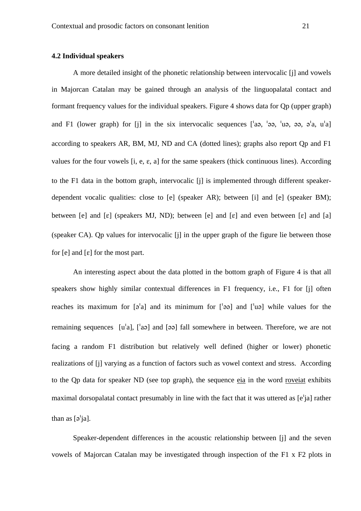#### **4.2 Individual speakers**

 A more detailed insight of the phonetic relationship between intervocalic [j] and vowels in Majorcan Catalan may be gained through an analysis of the linguopalatal contact and formant frequency values for the individual speakers. Figure 4 shows data for Qp (upper graph) and F1 (lower graph) for [j] in the six intervocalic sequences  $\int_a^b$  a,  $\int_a^b$  a,  $\partial_a$ ,  $\partial_a$ ,  $\partial_a$ ,  $\partial_a$ according to speakers AR, BM, MJ, ND and CA (dotted lines); graphs also report Qp and F1 values for the four vowels  $[i, e, \varepsilon, a]$  for the same speakers (thick continuous lines). According to the F1 data in the bottom graph, intervocalic [i] is implemented through different speakerdependent vocalic qualities: close to [e] (speaker AR); between [i] and [e] (speaker BM); between [e] and [ $\varepsilon$ ] (speakers MJ, ND); between [e] and [ $\varepsilon$ ] and even between [ $\varepsilon$ ] and [a] (speaker CA). Qp values for intervocalic [j] in the upper graph of the figure lie between those for  $[e]$  and  $[\varepsilon]$  for the most part.

 An interesting aspect about the data plotted in the bottom graph of Figure 4 is that all speakers show highly similar contextual differences in F1 frequency, i.e., F1 for [j] often reaches its maximum for  $\lceil 2 \rangle$  and its minimum for  $\lceil 2 \rangle$  and  $\lceil 1 \rangle$  while values for the remaining sequences  $[u^\dagger a]$ ,  $[u^\dagger a]$  and  $[\vartheta a]$  fall somewhere in between. Therefore, we are not facing a random F1 distribution but relatively well defined (higher or lower) phonetic realizations of [j] varying as a function of factors such as vowel context and stress. According to the Qp data for speaker ND (see top graph), the sequence eia in the word roveiat exhibits maximal dorsopalatal contact presumably in line with the fact that it was uttered as  $[e^i]$  rather than as  $\lceil 9'ia \rceil$ .

 Speaker-dependent differences in the acoustic relationship between [j] and the seven vowels of Majorcan Catalan may be investigated through inspection of the F1 x F2 plots in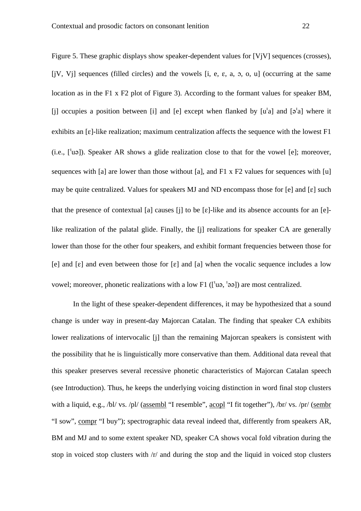Figure 5. These graphic displays show speaker-dependent values for [VjV] sequences (crosses), [jV, V<sub>j</sub>] sequences (filled circles) and the vowels [i, e,  $\varepsilon$ , a,  $\sigma$ ,  $\sigma$ ,  $\sigma$ ] (occurring at the same location as in the F1 x F2 plot of Figure 3). According to the formant values for speaker BM, [i] occupies a position between [i] and [e] except when flanked by  $[u^\dagger a]$  and  $[\vartheta^\dagger a]$  where it exhibits an  $\lceil \varepsilon \rceil$ -like realization; maximum centralization affects the sequence with the lowest F1  $(i.e., [^{\dagger}u\varphi]$ ). Speaker AR shows a glide realization close to that for the vowel [e]; moreover, sequences with [a] are lower than those without [a], and F1 x F2 values for sequences with [u] may be quite centralized. Values for speakers MJ and ND encompass those for  $[e]$  and  $[e]$  such that the presence of contextual [a] causes [j] to be  $[\varepsilon]$ -like and its absence accounts for an  $[\varepsilon]$ like realization of the palatal glide. Finally, the [j] realizations for speaker CA are generally lower than those for the other four speakers, and exhibit formant frequencies between those for [e] and  $[\varepsilon]$  and even between those for  $[\varepsilon]$  and  $[\varepsilon]$  when the vocalic sequence includes a low vowel; moreover, phonetic realizations with a low F1 ( $\lceil \text{u}_9, \text{u}_9 \rceil$ ) are most centralized.

 In the light of these speaker-dependent differences, it may be hypothesized that a sound change is under way in present-day Majorcan Catalan. The finding that speaker CA exhibits lower realizations of intervocalic [j] than the remaining Majorcan speakers is consistent with the possibility that he is linguistically more conservative than them. Additional data reveal that this speaker preserves several recessive phonetic characteristics of Majorcan Catalan speech (see Introduction). Thus, he keeps the underlying voicing distinction in word final stop clusters with a liquid, e.g., /bl/ vs. /pl/ (assembl "I resemble", acopl "I fit together"), /br/ vs. /pr/ (sembr "I sow", compr "I buy"); spectrographic data reveal indeed that, differently from speakers AR, BM and MJ and to some extent speaker ND, speaker CA shows vocal fold vibration during the stop in voiced stop clusters with /r/ and during the stop and the liquid in voiced stop clusters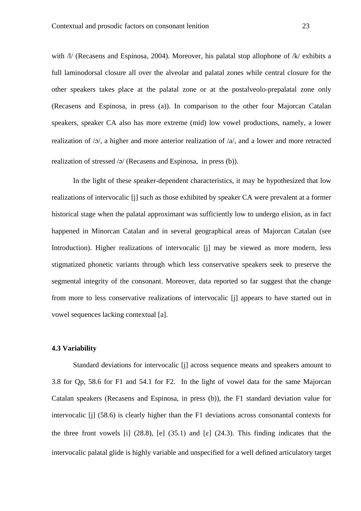with /l/ (Recasens and Espinosa, 2004). Moreover, his palatal stop allophone of /k/ exhibits a full laminodorsal closure all over the alveolar and palatal zones while central closure for the other speakers takes place at the palatal zone or at the postalveolo-prepalatal zone only (Recasens and Espinosa, in press (a)). In comparison to the other four Majorcan Catalan speakers, speaker CA also has more extreme (mid) low vowel productions, namely, a lower realization of  $/0$ , a higher and more anterior realization of  $/a$ , and a lower and more retracted realization of stressed  $\sqrt{2}$  (Recasens and Espinosa, in press (b)).

 In the light of these speaker-dependent characteristics, it may be hypothesized that low realizations of intervocalic [j] such as those exhibited by speaker CA were prevalent at a former historical stage when the palatal approximant was sufficiently low to undergo elision, as in fact happened in Minorcan Catalan and in several geographical areas of Majorcan Catalan (see Introduction). Higher realizations of intervocalic [j] may be viewed as more modern, less stigmatized phonetic variants through which less conservative speakers seek to preserve the segmental integrity of the consonant. Moreover, data reported so far suggest that the change from more to less conservative realizations of intervocalic [j] appears to have started out in vowel sequences lacking contextual [a].

#### **4.3 Variability**

 Standard deviations for intervocalic [j] across sequence means and speakers amount to 3.8 for Qp, 58.6 for F1 and 54.1 for F2. In the light of vowel data for the same Majorcan Catalan speakers (Recasens and Espinosa, in press (b)), the F1 standard deviation value for intervocalic [j] (58.6) is clearly higher than the F1 deviations across consonantal contexts for the three front vowels [i] (28.8), [e] (35.1) and [ $\varepsilon$ ] (24.3). This finding indicates that the intervocalic palatal glide is highly variable and unspecified for a well defined articulatory target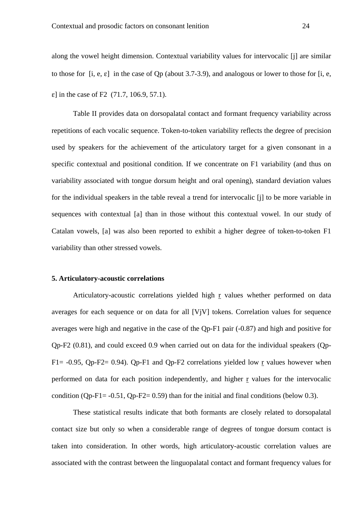along the vowel height dimension. Contextual variability values for intervocalic [j] are similar to those for  $[i, e, e]$  in the case of Qp (about 3.7-3.9), and analogous or lower to those for  $[i, e, e]$  $\varepsilon$ ] in the case of F2 (71.7, 106.9, 57.1).

 Table II provides data on dorsopalatal contact and formant frequency variability across repetitions of each vocalic sequence. Token-to-token variability reflects the degree of precision used by speakers for the achievement of the articulatory target for a given consonant in a specific contextual and positional condition. If we concentrate on F1 variability (and thus on variability associated with tongue dorsum height and oral opening), standard deviation values for the individual speakers in the table reveal a trend for intervocalic [j] to be more variable in sequences with contextual [a] than in those without this contextual vowel. In our study of Catalan vowels, [a] was also been reported to exhibit a higher degree of token-to-token F1 variability than other stressed vowels.

#### **5. Articulatory-acoustic correlations**

Articulatory-acoustic correlations yielded high r values whether performed on data averages for each sequence or on data for all [VjV] tokens. Correlation values for sequence averages were high and negative in the case of the Qp-F1 pair (-0.87) and high and positive for Qp-F2 (0.81), and could exceed 0.9 when carried out on data for the individual speakers (Qp-F1=  $-0.95$ , Qp-F2= 0.94). Qp-F1 and Qp-F2 correlations yielded low r values however when performed on data for each position independently, and higher r values for the intervocalic condition (Qp-F1=  $-0.51$ , Qp-F2= 0.59) than for the initial and final conditions (below 0.3).

 These statistical results indicate that both formants are closely related to dorsopalatal contact size but only so when a considerable range of degrees of tongue dorsum contact is taken into consideration. In other words, high articulatory-acoustic correlation values are associated with the contrast between the linguopalatal contact and formant frequency values for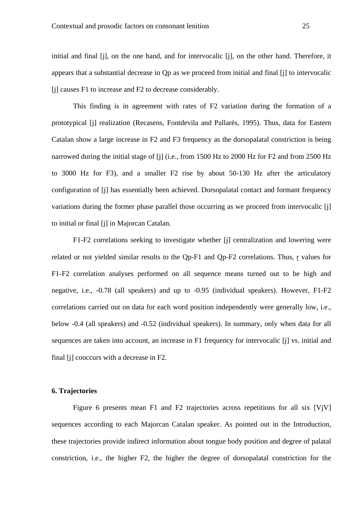initial and final [j], on the one hand, and for intervocalic [j], on the other hand. Therefore, it appears that a substantial decrease in Qp as we proceed from initial and final [j] to intervocalic [j] causes F1 to increase and F2 to decrease considerably.

 This finding is in agreement with rates of F2 variation during the formation of a prototypical [j] realization (Recasens, Fontdevila and Pallarès, 1995). Thus, data for Eastern Catalan show a large increase in F2 and F3 frequency as the dorsopalatal constriction is being narrowed during the initial stage of [j] (i.e., from 1500 Hz to 2000 Hz for F2 and from 2500 Hz to 3000 Hz for F3), and a smaller F2 rise by about 50-130 Hz after the articulatory configuration of [j] has essentially been achieved. Dorsopalatal contact and formant frequency variations during the former phase parallel those occurring as we proceed from intervocalic [j] to initial or final [j] in Majorcan Catalan.

F1-F2 correlations seeking to investigate whether [j] centralization and lowering were related or not yielded similar results to the Qp-F1 and Qp-F2 correlations. Thus, r values for F1-F2 correlation analyses performed on all sequence means turned out to be high and negative, i.e., -0.78 (all speakers) and up to -0.95 (individual speakers). However, F1-F2 correlations carried out on data for each word position independently were generally low, i.e., below -0.4 (all speakers) and -0.52 (individual speakers). In summary, only when data for all sequences are taken into account, an increase in F1 frequency for intervocalic [j] vs. initial and final [j] cooccurs with a decrease in F2.

#### **6. Trajectories**

Figure 6 presents mean F1 and F2 trajectories across repetitions for all six [VjV] sequences according to each Majorcan Catalan speaker. As pointed out in the Introduction, these trajectories provide indirect information about tongue body position and degree of palatal constriction, i.e., the higher F2, the higher the degree of dorsopalatal constriction for the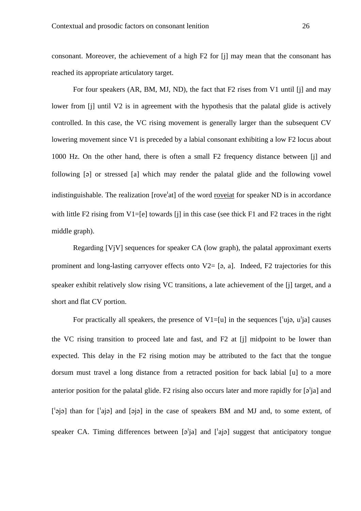consonant. Moreover, the achievement of a high F2 for [j] may mean that the consonant has reached its appropriate articulatory target.

 For four speakers (AR, BM, MJ, ND), the fact that F2 rises from V1 until [j] and may lower from [j] until V2 is in agreement with the hypothesis that the palatal glide is actively controlled. In this case, the VC rising movement is generally larger than the subsequent CV lowering movement since V1 is preceded by a labial consonant exhibiting a low F2 locus about 1000 Hz. On the other hand, there is often a small F2 frequency distance between [j] and following [a] or stressed [a] which may render the palatal glide and the following vowel indistinguishable. The realization [rove<sup>1</sup>at] of the word <u>roveiat</u> for speaker ND is in accordance with little F2 rising from  $V1=[e]$  towards [j] in this case (see thick F1 and F2 traces in the right middle graph).

 Regarding [VjV] sequences for speaker CA (low graph), the palatal approximant exerts prominent and long-lasting carryover effects onto  $V2=$  [ $\sigma$ , a]. Indeed, F2 trajectories for this speaker exhibit relatively slow rising VC transitions, a late achievement of the [j] target, and a short and flat CV portion.

For practically all speakers, the presence of  $V1=[u]$  in the sequences  $[$ uja, u<sup>t</sup>ja] causes the VC rising transition to proceed late and fast, and F2 at [j] midpoint to be lower than expected. This delay in the F2 rising motion may be attributed to the fact that the tongue dorsum must travel a long distance from a retracted position for back labial [u] to a more anterior position for the palatal glide. F2 rising also occurs later and more rapidly for  $\lceil 9 \rceil$ ja] and  $[\phi]$  than for  $[\phi]$  and  $[\phi]$  in the case of speakers BM and MJ and, to some extent, of speaker CA. Timing differences between  $\lceil 2 \rceil$  and  $\lceil 4 \rceil$  suggest that anticipatory tongue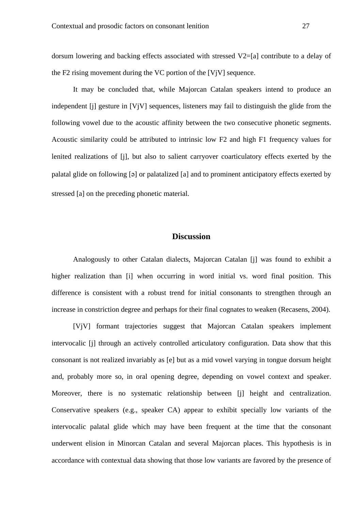dorsum lowering and backing effects associated with stressed V2=[a] contribute to a delay of the F2 rising movement during the VC portion of the  $[V_i]$  sequence.

 It may be concluded that, while Majorcan Catalan speakers intend to produce an independent [j] gesture in [VjV] sequences, listeners may fail to distinguish the glide from the following vowel due to the acoustic affinity between the two consecutive phonetic segments. Acoustic similarity could be attributed to intrinsic low F2 and high F1 frequency values for lenited realizations of [j], but also to salient carryover coarticulatory effects exerted by the palatal glide on following [ə] or palatalized [a] and to prominent anticipatory effects exerted by stressed [a] on the preceding phonetic material.

## **Discussion**

 Analogously to other Catalan dialects, Majorcan Catalan [j] was found to exhibit a higher realization than [i] when occurring in word initial vs. word final position. This difference is consistent with a robust trend for initial consonants to strengthen through an increase in constriction degree and perhaps for their final cognates to weaken (Recasens, 2004).

 [VjV] formant trajectories suggest that Majorcan Catalan speakers implement intervocalic [j] through an actively controlled articulatory configuration. Data show that this consonant is not realized invariably as [e] but as a mid vowel varying in tongue dorsum height and, probably more so, in oral opening degree, depending on vowel context and speaker. Moreover, there is no systematic relationship between [j] height and centralization. Conservative speakers (e.g., speaker CA) appear to exhibit specially low variants of the intervocalic palatal glide which may have been frequent at the time that the consonant underwent elision in Minorcan Catalan and several Majorcan places. This hypothesis is in accordance with contextual data showing that those low variants are favored by the presence of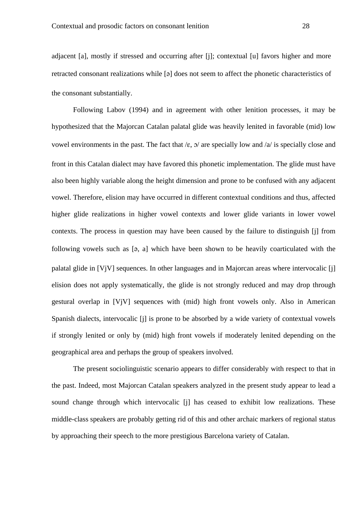adjacent [a], mostly if stressed and occurring after [j]; contextual [u] favors higher and more retracted consonant realizations while [a] does not seem to affect the phonetic characteristics of the consonant substantially.

 Following Labov (1994) and in agreement with other lenition processes, it may be hypothesized that the Majorcan Catalan palatal glide was heavily lenited in favorable (mid) low vowel environments in the past. The fact that  $/\varepsilon$ ,  $\sigma$  are specially low and  $/a$  is specially close and front in this Catalan dialect may have favored this phonetic implementation. The glide must have also been highly variable along the height dimension and prone to be confused with any adjacent vowel. Therefore, elision may have occurred in different contextual conditions and thus, affected higher glide realizations in higher vowel contexts and lower glide variants in lower vowel contexts. The process in question may have been caused by the failure to distinguish [j] from following vowels such as [ə, a] which have been shown to be heavily coarticulated with the palatal glide in [VjV] sequences. In other languages and in Majorcan areas where intervocalic [j] elision does not apply systematically, the glide is not strongly reduced and may drop through gestural overlap in [VjV] sequences with (mid) high front vowels only. Also in American Spanish dialects, intervocalic [j] is prone to be absorbed by a wide variety of contextual vowels if strongly lenited or only by (mid) high front vowels if moderately lenited depending on the geographical area and perhaps the group of speakers involved.

 The present sociolinguistic scenario appears to differ considerably with respect to that in the past. Indeed, most Majorcan Catalan speakers analyzed in the present study appear to lead a sound change through which intervocalic [j] has ceased to exhibit low realizations. These middle-class speakers are probably getting rid of this and other archaic markers of regional status by approaching their speech to the more prestigious Barcelona variety of Catalan.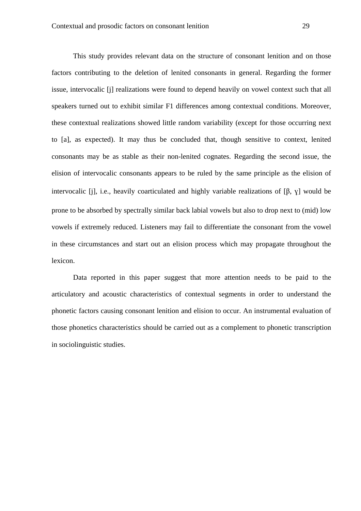This study provides relevant data on the structure of consonant lenition and on those factors contributing to the deletion of lenited consonants in general. Regarding the former issue, intervocalic [j] realizations were found to depend heavily on vowel context such that all speakers turned out to exhibit similar F1 differences among contextual conditions. Moreover, these contextual realizations showed little random variability (except for those occurring next to [a], as expected). It may thus be concluded that, though sensitive to context, lenited consonants may be as stable as their non-lenited cognates. Regarding the second issue, the elision of intervocalic consonants appears to be ruled by the same principle as the elision of intervocalic  $[i]$ , i.e., heavily coarticulated and highly variable realizations of  $[ $\beta$ ,  $\gamma$ ] would be$ prone to be absorbed by spectrally similar back labial vowels but also to drop next to (mid) low vowels if extremely reduced. Listeners may fail to differentiate the consonant from the vowel in these circumstances and start out an elision process which may propagate throughout the lexicon.

 Data reported in this paper suggest that more attention needs to be paid to the articulatory and acoustic characteristics of contextual segments in order to understand the phonetic factors causing consonant lenition and elision to occur. An instrumental evaluation of those phonetics characteristics should be carried out as a complement to phonetic transcription in sociolinguistic studies.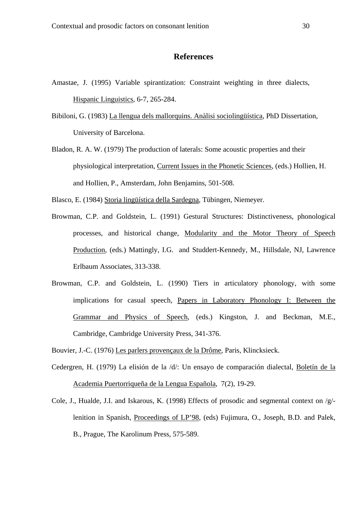## **References**

- Amastae, J. (1995) Variable spirantization: Constraint weighting in three dialects, Hispanic Linguistics, 6-7, 265-284.
- Bibiloni, G. (1983) La llengua dels mallorquins. Anàlisi sociolingüística, PhD Dissertation, University of Barcelona.
- Bladon, R. A. W. (1979) The production of laterals: Some acoustic properties and their physiological interpretation, Current Issues in the Phonetic Sciences, (eds.) Hollien, H. and Hollien, P., Amsterdam, John Benjamins, 501-508.

Blasco, E. (1984) Storia lingüística della Sardegna, Tübingen, Niemeyer.

- Browman, C.P. and Goldstein, L. (1991) Gestural Structures: Distinctiveness, phonological processes, and historical change, Modularity and the Motor Theory of Speech Production, (eds.) Mattingly, I.G. and Studdert-Kennedy, M., Hillsdale, NJ, Lawrence Erlbaum Associates, 313-338.
- Browman, C.P. and Goldstein, L. (1990) Tiers in articulatory phonology, with some implications for casual speech, Papers in Laboratory Phonology I: Between the Grammar and Physics of Speech, (eds.) Kingston, J. and Beckman, M.E., Cambridge, Cambridge University Press, 341-376.
- Bouvier, J.-C. (1976) Les parlers provençaux de la Drôme, Paris, Klincksieck.
- Cedergren, H. (1979) La elisión de la /d/: Un ensayo de comparación dialectal, Boletín de la Academia Puertorriqueña de la Lengua Española, 7(2), 19-29.
- Cole, J., Hualde, J.I. and Iskarous, K. (1998) Effects of prosodic and segmental context on /g/ lenition in Spanish, Proceedings of LP'98, (eds) Fujimura, O., Joseph, B.D. and Palek, B., Prague, The Karolinum Press, 575-589.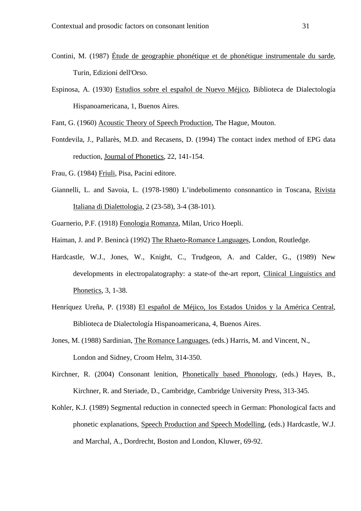- Contini, M. (1987) Étude de geographie phonétique et de phonétique instrumentale du sarde, Turin, Edizioni dell'Orso.
- Espinosa, A. (1930) Estudios sobre el español de Nuevo Méjico, Biblioteca de Dialectología Hispanoamericana, 1, Buenos Aires.

Fant, G. (1960) Acoustic Theory of Speech Production, The Hague, Mouton.

- Fontdevila, J., Pallarès, M.D. and Recasens, D. (1994) The contact index method of EPG data reduction, Journal of Phonetics, 22, 141-154.
- Frau, G. (1984) Friuli, Pisa, Pacini editore.
- Giannelli, L. and Savoia, L. (1978-1980) L'indebolimento consonantico in Toscana, Rivista Italiana di Dialettologia, 2 (23-58), 3-4 (38-101).
- Guarnerio, P.F. (1918) Fonologia Romanza, Milan, Urico Hoepli.
- Haiman, J. and P. Benincà (1992) The Rhaeto-Romance Languages, London, Routledge.
- Hardcastle, W.J., Jones, W., Knight, C., Trudgeon, A. and Calder, G., (1989) New developments in electropalatography: a state-of the-art report, Clinical Linguistics and Phonetics, 3, 1-38.
- Henríquez Ureña, P. (1938) El español de Méjico, los Estados Unidos y la América Central, Biblioteca de Dialectología Hispanoamericana, 4, Buenos Aires.
- Jones, M. (1988) Sardinian, The Romance Languages, (eds.) Harris, M. and Vincent, N., London and Sidney, Croom Helm, 314-350.
- Kirchner, R. (2004) Consonant lenition, Phonetically based Phonology, (eds.) Hayes, B., Kirchner, R. and Steriade, D., Cambridge, Cambridge University Press, 313-345.
- Kohler, K.J. (1989) Segmental reduction in connected speech in German: Phonological facts and phonetic explanations, Speech Production and Speech Modelling, (eds.) Hardcastle, W.J. and Marchal, A., Dordrecht, Boston and London, Kluwer, 69-92.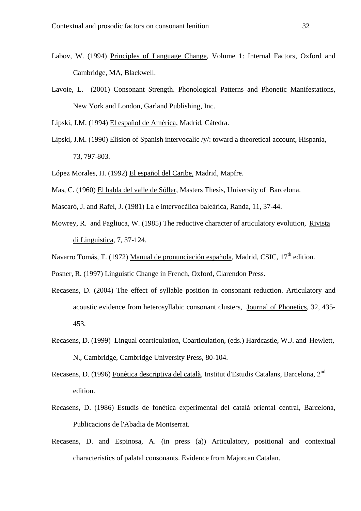- Labov, W. (1994) Principles of Language Change, Volume 1: Internal Factors, Oxford and Cambridge, MA, Blackwell.
- Lavoie, L. (2001) Consonant Strength. Phonological Patterns and Phonetic Manifestations, New York and London, Garland Publishing, Inc.
- Lipski, J.M. (1994) El español de América, Madrid, Cátedra.
- Lipski, J.M. (1990) Elision of Spanish intervocalic /y/: toward a theoretical account, Hispania, 73, 797-803.
- López Morales, H. (1992) El español del Caribe, Madrid, Mapfre.
- Mas, C. (1960) El habla del valle de Sóller, Masters Thesis, University of Barcelona.
- Mascaró, J. and Rafel, J. (1981) La e intervocàlica baleàrica, Randa, 11, 37-44.
- Mowrey, R. and Pagliuca, W. (1985) The reductive character of articulatory evolution, Rivista di Linguistica, 7, 37-124.
- Navarro Tomás, T. (1972) Manual de pronunciación española, Madrid, CSIC, 17<sup>th</sup> edition.
- Posner, R. (1997) Linguistic Change in French, Oxford, Clarendon Press.
- Recasens, D. (2004) The effect of syllable position in consonant reduction. Articulatory and acoustic evidence from heterosyllabic consonant clusters, Journal of Phonetics, 32, 435- 453.
- Recasens, D. (1999) Lingual coarticulation, Coarticulation, (eds.) Hardcastle, W.J. and Hewlett, N., Cambridge, Cambridge University Press, 80-104.
- Recasens, D. (1996) Fonètica descriptiva del català, Institut d'Estudis Catalans, Barcelona, 2<sup>nd</sup> edition.
- Recasens, D. (1986) Estudis de fonètica experimental del català oriental central, Barcelona, Publicacions de l'Abadia de Montserrat.
- Recasens, D. and Espinosa, A. (in press (a)) Articulatory, positional and contextual characteristics of palatal consonants. Evidence from Majorcan Catalan.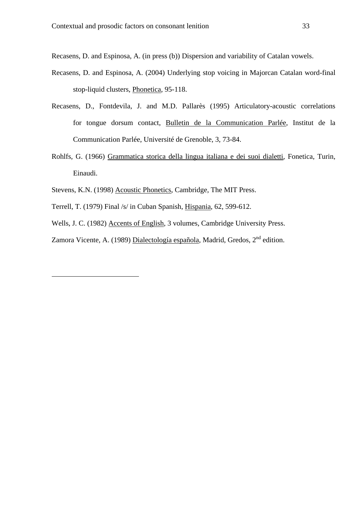Recasens, D. and Espinosa, A. (in press (b)) Dispersion and variability of Catalan vowels.

- Recasens, D. and Espinosa, A. (2004) Underlying stop voicing in Majorcan Catalan word-final stop-liquid clusters, Phonetica, 95-118.
- Recasens, D., Fontdevila, J. and M.D. Pallarès (1995) Articulatory-acoustic correlations for tongue dorsum contact, Bulletin de la Communication Parlée, Institut de la Communication Parlée, Université de Grenoble, 3, 73-84.
- Rohlfs, G. (1966) Grammatica storica della lingua italiana e dei suoi dialetti, Fonetica, Turin, Einaudi.
- Stevens, K.N. (1998) Acoustic Phonetics, Cambridge, The MIT Press.
- Terrell, T. (1979) Final /s/ in Cuban Spanish, Hispania, 62, 599-612.

l

- Wells, J. C. (1982) Accents of English, 3 volumes, Cambridge University Press.
- Zamora Vicente, A. (1989) Dialectología española, Madrid, Gredos, 2<sup>nd</sup> edition.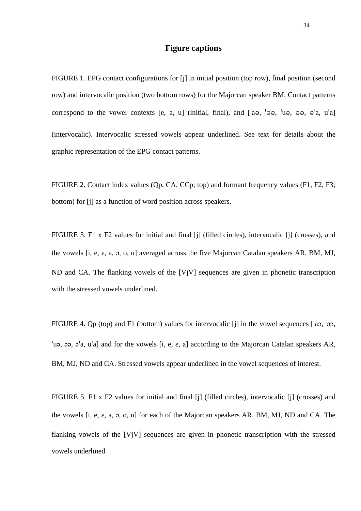#### **Figure captions**

FIGURE 1. EPG contact configurations for [j] in initial position (top row), final position (second row) and intervocalic position (two bottom rows) for the Majorcan speaker BM. Contact patterns correspond to the vowel contexts [e, a, u] (initial, final), and  $\lceil a\theta, \theta, \theta \theta, \theta \theta, \theta, \theta \theta, \theta \theta \rangle$ (intervocalic). Intervocalic stressed vowels appear underlined. See text for details about the graphic representation of the EPG contact patterns.

FIGURE 2. Contact index values (Qp, CA, CCp; top) and formant frequency values (F1, F2, F3; bottom) for [j] as a function of word position across speakers.

FIGURE 3. F1 x F2 values for initial and final [j] (filled circles), intervocalic [j] (crosses), and the vowels  $[i, e, \varepsilon, a, 5, o, u]$  averaged across the five Majorcan Catalan speakers AR, BM, MJ, ND and CA. The flanking vowels of the [VjV] sequences are given in phonetic transcription with the stressed vowels underlined.

FIGURE 4. Qp (top) and F1 (bottom) values for intervocalic [j] in the vowel sequences  $\lceil a_0, a_2 \rceil$ ,  $\alpha$ ,  $\alpha$ ,  $\alpha$ ,  $\alpha$ ,  $\alpha$ , a) and for the vowels [i, e,  $\epsilon$ , a] according to the Majorcan Catalan speakers AR, BM, MJ, ND and CA. Stressed vowels appear underlined in the vowel sequences of interest.

FIGURE 5. F1 x F2 values for initial and final [j] (filled circles), intervocalic [j] (crosses) and the vowels  $[i, e, \varepsilon, a, 5, o, u]$  for each of the Majorcan speakers AR, BM, MJ, ND and CA. The flanking vowels of the [VjV] sequences are given in phonetic transcription with the stressed vowels underlined.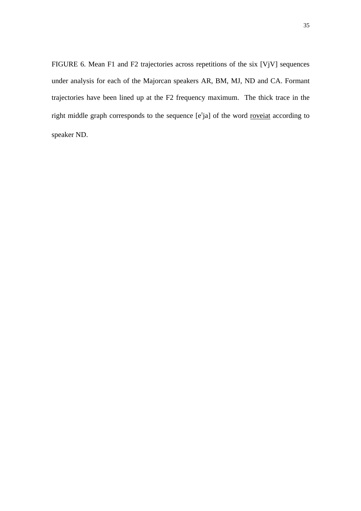FIGURE 6. Mean F1 and F2 trajectories across repetitions of the six [VjV] sequences under analysis for each of the Majorcan speakers AR, BM, MJ, ND and CA. Formant trajectories have been lined up at the F2 frequency maximum. The thick trace in the right middle graph corresponds to the sequence [e<sup>t</sup>ja] of the word roveiat according to speaker ND.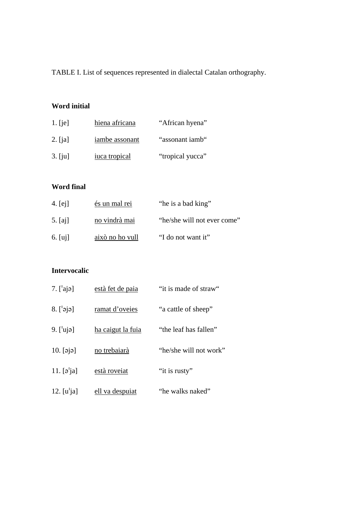TABLE I. List of sequences represented in dialectal Catalan orthography.

## **Word initial**

| $1.$ [ie] | hiena africana | "African hyena"  |
|-----------|----------------|------------------|
| $2.$ [ja] | iambe assonant | "assonant iamb"  |
| $3.$ [ju] | iuca tropical  | "tropical yucca" |

## **Word final**

| 4. $[ei]$ | és un mal rei   | "he is a bad king"          |
|-----------|-----------------|-----------------------------|
| $5.$ [aj] | no vindrà mai   | "he/she will not ever come" |
| 6. $[ui]$ | això no ho vull | "I do not want it"          |

## **Intervocalic**

| 7. $[$ <sup>'</sup> ajə]                     | està fet de paia  | "it is made of straw"  |
|----------------------------------------------|-------------------|------------------------|
| $8.$ [ $\sigma$ jə]                          | ramat d'oveies    | "a cattle of sheep"    |
| 9. $[$ ujə]                                  | ha caigut la fuia | "the leaf has fallen"  |
| $10.$ [ $\varphi$ $\varphi$ ]                | no trebaiarà      | "he/she will not work" |
| 11. $\lbrack \mathfrak{a}^{\dagger} \rbrack$ | està roveiat      | "it is rusty"          |
| 12. $[u^{\dagger}]$                          | ell va despuiat   | "he walks naked"       |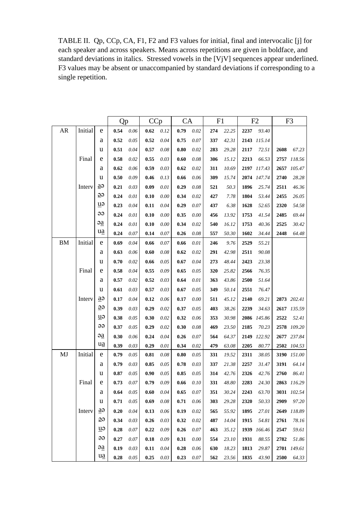TABLE II. Qp, CCp, CA, F1, F2 and F3 values for initial, final and intervocalic [j] for each speaker and across speakers. Means across repetitions are given in boldface, and standard deviations in italics. Stressed vowels in the [VjV] sequences appear underlined. F3 values may be absent or unaccompanied by standard deviations if corresponding to a single repetition.

|            |         |                          | Qp   |      | CCp  |          | <b>CA</b> |          | F <sub>1</sub> |       | F <sub>2</sub> |             | F <sub>3</sub> |             |
|------------|---------|--------------------------|------|------|------|----------|-----------|----------|----------------|-------|----------------|-------------|----------------|-------------|
| ${\sf AR}$ | Initial | e                        | 0.54 | 0.06 | 0.62 | 0.12     | 0.79      | $0.02\,$ | 274            | 22.25 | 2237           | 93.40       |                |             |
|            |         | а                        | 0.52 | 0.05 | 0.52 | 0.04     | 0.75      | $0.07\,$ | 337            | 42.31 |                | 2143 115.14 |                |             |
|            |         | u                        | 0.51 | 0.04 | 0.57 | 0.08     | 0.80      | 0.02     | 283            | 29.28 | 2117           | 72.51       | 2608           | 67.23       |
|            | Final   | e                        | 0.58 | 0.02 | 0.55 | 0.03     | 0.60      | 0.08     | 306            | 15.12 | 2213           | 66.53       |                | 2757 118.56 |
|            |         | a                        | 0.62 | 0.06 | 0.59 | 0.03     | 0.62      | 0.02     | 311            | 10.69 |                | 2197 117.43 | 2657           | 105.47      |
|            |         | u                        | 0.50 | 0.09 | 0.46 | 0.13     | 0.66      | 0.06     | 309            | 15.74 |                | 2074 147.74 | 2740           | 28.28       |
|            | Interv  | $\overline{a}$           | 0.21 | 0.03 | 0.09 | $0.01\,$ | 0.29      | 0.08     | 521            | 50.3  | 1896           | 25.74       | 2511           | 46.36       |
|            |         | $\overline{\Theta}$      | 0.24 | 0.01 | 0.10 | 0.00     | 0.34      | 0.02     | 427            | 7.78  | 1804           | 53.44       | 2455           | 26.05       |
|            |         | uə                       | 0.23 | 0.04 | 0.11 | 0.04     | 0.29      | 0.07     | 437            | 6.38  | 1628           | 52.65       | 2320           | 54.58       |
|            |         | ee                       | 0.24 | 0.01 | 0.10 | $0.00\,$ | 0.35      | $0.00\,$ | 456            | 13.92 | 1753           | 41.54       | 2485           | 69.44       |
|            |         | $\overline{a}$           | 0.24 | 0.01 | 0.10 | $0.00\,$ | 0.34      | 0.02     | 540            | 16.12 | 1753           | 40.36       | 2525           | 30.42       |
|            |         | ua                       | 0.24 | 0.07 | 0.14 | 0.07     | 0.26      | 0.08     | 557            | 50.30 | 1602           | 34.44       | 2448           | 64.48       |
| <b>BM</b>  | Initial | e                        | 0.69 | 0.04 | 0.66 | 0.07     | 0.66      | 0.01     | 246            | 9.76  | 2529           | 55.21       |                |             |
|            |         | a                        | 0.63 | 0.06 | 0.60 | 0.08     | 0.62      | 0.02     | 291            | 42.98 | 2511           | 90.08       |                |             |
|            |         | u                        | 0.70 | 0.02 | 0.66 | 0.05     | 0.67      | 0.04     | 273            | 48.44 | 2423           | 23.38       |                |             |
|            | Final   | e                        | 0.58 | 0.04 | 0.55 | 0.09     | 0.65      | 0.05     | 320            | 25.82 | 2566           | 76.35       |                |             |
|            |         | a                        | 0.57 | 0.02 | 0.52 | 0.03     | 0.64      | 0.01     | 363            | 43.86 | 2500           | 51.64       |                |             |
|            |         | u                        | 0.61 | 0.03 | 0.57 | 0.03     | 0.67      | 0.05     | 349            | 50.14 | 2551           | 76.47       |                |             |
|            | Interv  | $\overline{a}$           | 0.17 | 0.04 | 0.12 | 0.06     | 0.17      | 0.00     | 511            | 45.12 | 2140           | 69.21       |                | 2873 202.41 |
|            |         | eg                       | 0.39 | 0.03 | 0.29 | 0.02     | 0.37      | 0.05     | 403            | 38.26 | 2239           | 34.63       |                | 2617 135.59 |
|            |         | uə                       | 0.38 | 0.05 | 0.30 | 0.02     | 0.32      | 0.06     | 353            | 30.98 | 2086           | 145.86      | 2522           | 52.41       |
|            |         | ee                       | 0.37 | 0.05 | 0.29 | 0.02     | 0.30      | 0.08     | 469            | 23.50 | 2185           | 70.23       | 2578           | 109.20      |
|            |         | $\partial \underline{a}$ | 0.30 | 0.06 | 0.24 | 0.04     | 0.26      | 0.07     | 564            | 64.37 | 2149           | 122.92      |                | 2677 237.84 |
|            |         | ua                       | 0.39 | 0.03 | 0.29 | 0.01     | 0.34      | 0.02     | 479            | 63.08 | 2205           | 80.77       |                | 2502 104.53 |
| MJ         | Initial | e                        | 0.79 | 0.05 | 0.81 | 0.08     | 0.80      | 0.05     | 331            | 19.52 | 2311           | 38.05       | 3190           | 151.00      |
|            |         | a                        | 0.79 | 0.03 | 0.85 | 0.05     | 0.78      | 0.03     | 337            | 21.38 | 2257           | 31.47       | 3191           | 64.14       |
|            |         | u                        | 0.87 | 0.05 | 0.90 | $0.05\,$ | 0.85      | 0.05     | 314            | 42.76 | 2326           | 42.76       | 2760           | 86.41       |
|            | Final   | e                        | 0.73 | 0.07 | 0.79 | 0.09     | 0.66      | 0.10     | 331            | 48.80 | 2283           | 24.30       |                | 2863 116.29 |
|            |         | a                        | 0.64 | 0.05 | 0.60 | 0.04     | 0.65      | 0.07     | 351            | 30.24 | 2243           | 63.70       |                | 3031 102.54 |
|            |         | u                        | 0.71 | 0.05 | 0.69 | 0.08     | 0.71      | 0.06     | 303            | 29.28 | 2320           | 50.33       | 2909           | 97.20       |
|            | Intery  | $\overline{a}$           | 0.20 | 0.04 | 0.13 | 0.06     | 0.19      | 0.02     | 565            | 55.92 | 1895           | 27.01       | 2649           | 118.89      |
|            |         | eg                       | 0.34 | 0.03 | 0.26 | 0.03     | 0.32      | 0.02     | 487            | 14.04 | 1915           | 54.81       | 2761           | 78.16       |
|            |         | $\mathbf{u}$             | 0.28 | 0.07 | 0.22 | 0.09     | 0.26      | 0.07     | 463            | 35.12 | 1939           | 166.46      | 2547           | 59.61       |
|            |         | ee                       | 0.27 | 0.07 | 0.18 | 0.09     | 0.31      | 0.00     | 554            | 23.10 | 1931           | 88.55       | 2782           | 51.86       |
|            |         | $\partial \underline{a}$ | 0.19 | 0.03 | 0.11 | 0.04     | 0.28      | 0.06     | 630            | 18.23 | 1813           | 29.87       |                | 2701 149.61 |
|            |         | <u>ua</u>                | 0.28 | 0.05 | 0.25 | 0.03     | 0.23      | 0.07     | 562            | 23.56 | 1835           | 43.90       | 2500           | 64.33       |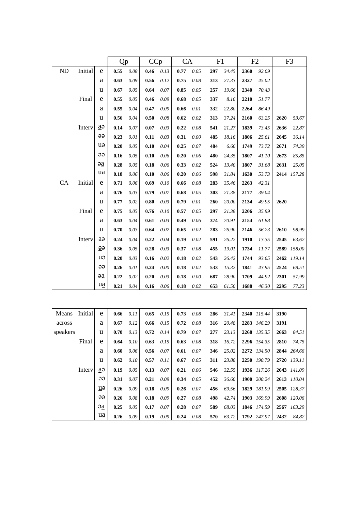|          |         |                         | Qp   |      | CCp                 |      | <b>CA</b> |      | F1  |       | F2   |       | F <sub>3</sub> |             |
|----------|---------|-------------------------|------|------|---------------------|------|-----------|------|-----|-------|------|-------|----------------|-------------|
| $\rm ND$ | Initial | e                       | 0.55 | 0.08 | 0.46                | 0.13 | 0.77      | 0.05 | 297 | 34.45 | 2360 | 92.09 |                |             |
|          |         | a                       | 0.63 | 0.09 | 0.56                | 0.12 | 0.75      | 0.08 | 313 | 27.33 | 2327 | 45.02 |                |             |
|          |         | u                       | 0.67 | 0.05 | 0.64                | 0.07 | 0.85      | 0.05 | 257 | 19.66 | 2340 | 70.43 |                |             |
|          | Final   | e                       | 0.55 | 0.05 | 0.46                | 0.09 | 0.68      | 0.05 | 337 | 8.16  | 2210 | 51.77 |                |             |
|          |         | a                       | 0.55 | 0.04 | 0.47                | 0.09 | 0.66      | 0.01 | 332 | 22.80 | 2264 | 86.49 |                |             |
|          |         | u                       | 0.56 | 0.04 | 0.50                | 0.08 | 0.62      | 0.02 | 313 | 37.24 | 2160 | 63.25 | 2620           | 53.67       |
|          | Interv  | aə                      | 0.14 | 0.07 | 0.07                | 0.03 | 0.22      | 0.08 | 541 | 21.27 | 1839 | 73.45 | 2636           | 22.87       |
|          |         | $\overline{\mathbf{B}}$ | 0.23 | 0.01 | 0.11                | 0.03 | 0.31      | 0.00 | 485 | 18.16 | 1806 | 25.61 | 2645           | 36.14       |
|          |         | uə                      | 0.20 | 0.05 | 0.10                | 0.04 | 0.25      | 0.07 | 484 | 6.66  | 1749 | 73.72 | 2671           | 74.39       |
|          |         | ee                      | 0.16 | 0.05 | 0.10                | 0.06 | 0.20      | 0.06 | 480 | 24.35 | 1807 | 41.10 | 2673           | 85.85       |
|          |         | $\overline{a}$          | 0.28 | 0.05 | 0.18                | 0.06 | 0.33      | 0.02 | 524 | 13.40 | 1807 | 31.68 | 2631           | 25.05       |
|          |         | $u\underline{a}$        | 0.18 | 0.06 | 0.10                | 0.06 | 0.20      | 0.06 | 598 | 31.84 | 1630 | 53.73 |                | 2414 157.28 |
| CA       | Initial | e                       | 0.71 | 0.06 | 0.69                | 0.10 | 0.66      | 0.08 | 283 | 35.46 | 2263 | 42.31 |                |             |
|          |         | a                       | 0.76 | 0.03 | 0.79                | 0.07 | 0.68      | 0.05 | 303 | 21.38 | 2177 | 39.04 |                |             |
|          |         | u                       | 0.77 | 0.02 | $\boldsymbol{0.80}$ | 0.03 | 0.79      | 0.01 | 260 | 20.00 | 2134 | 49.95 | 2620           |             |
|          | Final   | e                       | 0.75 | 0.05 | 0.76                | 0.10 | 0.57      | 0.05 | 297 | 21.38 | 2206 | 35.99 |                |             |
|          |         | a                       | 0.63 | 0.04 | 0.61                | 0.03 | 0.49      | 0.06 | 374 | 70.91 | 2154 | 61.88 |                |             |
|          |         | u                       | 0.70 | 0.03 | 0.64                | 0.02 | 0.65      | 0.02 | 283 | 26.90 | 2146 | 56.23 | 2610           | 98.99       |
|          | Interv  | a                       | 0.24 | 0.04 | 0.22                | 0.04 | 0.19      | 0.02 | 591 | 26.22 | 1910 | 13.35 | 2545           | 63.62       |
|          |         | ee                      | 0.36 | 0.05 | 0.28                | 0.03 | 0.37      | 0.08 | 455 | 19.01 | 1734 | 11.77 | 2589           | 158.00      |
|          |         | uə                      | 0.20 | 0.03 | 0.16                | 0.02 | 0.18      | 0.02 | 543 | 26.42 | 1744 | 93.65 |                | 2462 119.14 |
|          |         | ee                      | 0.26 | 0.01 | 0.24                | 0.00 | 0.18      | 0.02 | 533 | 15.32 | 1841 | 43.95 | 2524           | 68.51       |
|          |         | $\overline{a}$          | 0.22 | 0.02 | 0.20                | 0.03 | 0.18      | 0.00 | 687 | 28.90 | 1709 | 44.92 | 2301           | 57.99       |
|          |         | ua                      | 0.21 | 0.04 | 0.16                | 0.06 | 0.18      | 0.02 | 653 | 61.50 | 1688 | 46.30 | 2295           | 77.23       |
|          |         |                         |      |      |                     |      |           |      |     |       |      |       |                |             |

| Means    | <b>Initial</b> | e  | 0.66 | 0.11 | 0.65 | 0.15 | 0.73 | 0.08 | 286 | 31.41 | 2340 115.44 | 3190 |             |
|----------|----------------|----|------|------|------|------|------|------|-----|-------|-------------|------|-------------|
| across   |                | a  | 0.67 | 0.12 | 0.66 | 0.15 | 0.72 | 0.08 | 316 | 20.48 | 2283 146.29 | 3191 |             |
| speakers |                | u  | 0.70 | 0.13 | 0.72 | 0.14 | 0.79 | 0.07 | 277 | 23.13 | 2268 135.35 | 2663 | 84.51       |
|          | Final          | e  | 0.64 | 0.10 | 0.63 | 0.15 | 0.63 | 0.08 | 318 | 16.72 | 2296 154.35 | 2810 | 74.75       |
|          |                | a  | 0.60 | 0.06 | 0.56 | 0.07 | 0.61 | 0.07 | 346 | 25.02 | 2272 134.50 |      | 2844 264.66 |
|          |                | u  | 0.62 | 0.10 | 0.57 | 0.11 | 0.67 | 0.05 | 311 | 23.88 | 2250 190.79 |      | 2720 139.11 |
|          | Interv         | aə | 0.19 | 0.05 | 0.13 | 0.07 | 0.21 | 0.06 | 546 | 32.55 | 1936 117.26 |      | 2643 141.09 |
|          |                | ee | 0.31 | 0.07 | 0.21 | 0.09 | 0.34 | 0.05 | 452 | 36.60 | 1900 200.24 |      | 2613 110.04 |
|          |                | uə | 0.26 | 0.09 | 0.18 | 0.09 | 0.26 | 0.07 | 456 | 69.56 | 1829 181.99 |      | 2505 128.37 |
|          |                | ee | 0.26 | 0.08 | 0.18 | 0.09 | 0.27 | 0.08 | 498 | 42.74 | 1903 169.99 |      | 2608 120.06 |
|          |                | əa | 0.25 | 0.05 | 0.17 | 0.07 | 0.28 | 0.07 | 589 | 68.03 | 1846 174.59 |      | 2567 163.29 |
|          |                | ua | 0.26 | 0.09 | 0.19 | 0.09 | 0.24 | 0.08 | 570 | 63.72 | 1792 247.97 | 2432 | 84.82       |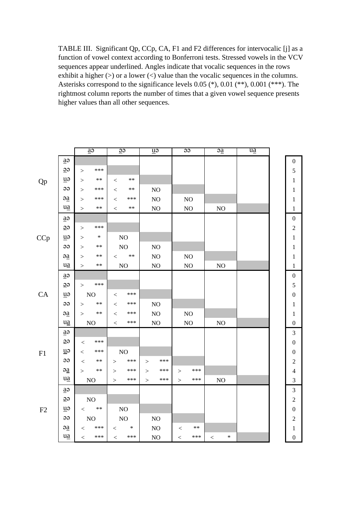TABLE III. Significant Qp, CCp, CA, F1 and F2 differences for intervocalic [j] as a function of vowel context according to Bonferroni tests. Stressed vowels in the VCV sequences appear underlined. Angles indicate that vocalic sequences in the rows exhibit a higher  $(>)$  or a lower  $($  value than the vocalic sequences in the columns. Asterisks correspond to the significance levels 0.05 (\*), 0.01 (\*\*), 0.001 (\*\*\*). The rightmost column reports the number of times that a given vowel sequence presents higher values than all other sequences.

|           |                                 | $\overline{a}$       | $\overline{\Theta}$    | $\overline{u}$ | $\overline{\Theta}$    | $\overline{a}$  | $\overline{ua}$ |                  |
|-----------|---------------------------------|----------------------|------------------------|----------------|------------------------|-----------------|-----------------|------------------|
|           | $a\Theta$                       |                      |                        |                |                        |                 |                 | $\boldsymbol{0}$ |
|           | $\overline{\mathcal{Q}}$        | $***$<br>>           |                        |                |                        |                 |                 | 5                |
| <b>Qp</b> | u                               | $***$<br>>           | $\ast$ $\ast$<br>$\lt$ |                |                        |                 |                 | $\mathbf{1}$     |
|           | ee                              | ***<br>$\geq$        | $***$<br>$\lt$         | N <sub>O</sub> |                        |                 |                 | $\mathbf{1}$     |
|           | a                               | ***<br>$\geq$        | ***<br>$\,<\,$         | $\rm NO$       | NO                     |                 |                 | $\mathbf{1}$     |
|           | $u$ a                           | $***$<br>$\geq$      | $\ast\ast$<br>$\,<\,$  | $\rm NO$       | $NO$                   | NO              |                 | $\,1$            |
|           | $a\partial$                     |                      |                        |                |                        |                 |                 | $\boldsymbol{0}$ |
|           | $\overline{\Theta}$             | ***<br>>             |                        |                |                        |                 |                 | $\mathbf{2}$     |
| CCp       | $\overline{u}$                  | $\ast$<br>>          | $\rm NO$               |                |                        |                 |                 | $\mathbf{1}$     |
|           | $\Theta$                        | $***$<br>$\geq$      | NO                     | $\rm NO$       |                        |                 |                 | 1                |
|           | a                               | $***$<br>$\geq$      | $\ast\ast$<br>$\lt$    | NO             | NO                     |                 |                 | $\mathbf{1}$     |
|           | <u>ua</u>                       | $\ast\ast$<br>$\geq$ | $\rm NO$               | $\rm NO$       | $\rm NO$               | NO              |                 | $\mathbf{1}$     |
|           | $a\partial$                     |                      |                        |                |                        |                 |                 | $\boldsymbol{0}$ |
|           | $\overline{\mathbf{e}}$         | ***<br>$\mathbf{L}$  |                        |                |                        |                 |                 | 5                |
| CA        | $u\partial$                     | $\rm NO$             | ***<br>$\,<\,$         |                |                        |                 |                 | $\boldsymbol{0}$ |
|           | $\Theta$                        | $\ast\ast$<br>$\geq$ | ***<br>$\lt$           | NO             |                        |                 |                 | $\mathbf{1}$     |
|           | $\partial \underline{\partial}$ | $***$<br>$\geq$      | $***$<br>$\,<$         | $\rm NO$       | $\rm NO$               |                 |                 | $\mathbf{1}$     |
|           | $u\underline{a}$                | $\rm NO$             | ***<br>$\,<\,$         | NO             | NO                     | NO              |                 | $\boldsymbol{0}$ |
|           | $a\partial$                     |                      |                        |                |                        |                 |                 | 3                |
|           | $\overline{\mathbf{B}}$         | ***<br>$\,<\,$       |                        |                |                        |                 |                 | $\boldsymbol{0}$ |
| F1        | $\underline{u}$                 | ***<br>$\lt$         | $\rm NO$               |                |                        |                 |                 | $\boldsymbol{0}$ |
|           | $\Theta$                        | $***$<br>$\,<$       | ***<br>>               | ***<br>>       |                        |                 |                 | $\overline{c}$   |
|           | a                               | $***$<br>$\geq$      | ***<br>>               | ***<br>$\geq$  | $***$<br>>             |                 |                 | $\overline{4}$   |
|           | $u\underline{a}$                | $\rm NO$             | ***<br>>               | ***<br>$\geq$  | ***<br>$\geq$          | NO              |                 | 3                |
|           | $a\partial$                     |                      |                        |                |                        |                 |                 | $\mathfrak{Z}$   |
|           | $\overline{\mathbf{e}}$         | $\rm NO$             |                        |                |                        |                 |                 | $\sqrt{2}$       |
| F2        | u                               | $\ast\ast$<br>$\lt$  | $\rm NO$               |                |                        |                 |                 | $\boldsymbol{0}$ |
|           | $\Theta$                        | NO                   | $\rm NO$               | NO             |                        |                 |                 | $\sqrt{2}$       |
|           | $\partial a$                    | ***<br>$\,<\,$       | $\ast$<br>$\,<$        | $\rm NO$       | $\ast$ $\ast$<br>$\,<$ |                 |                 | $\mathbf{1}$     |
|           | $u\underline{a}$                | $***$<br>$\,<$       | ***<br>$\,<$           | $\rm NO$       | ***<br>$\lt$           | $\ast$<br>$\lt$ |                 | $\boldsymbol{0}$ |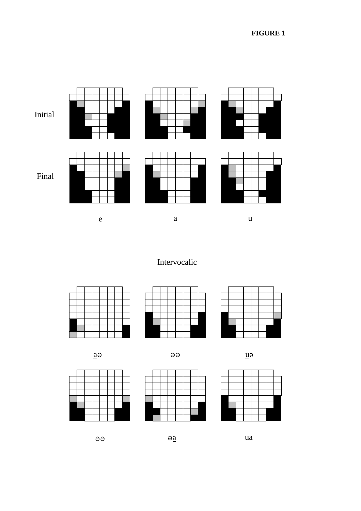

Intervocalic









 $\Theta$ 







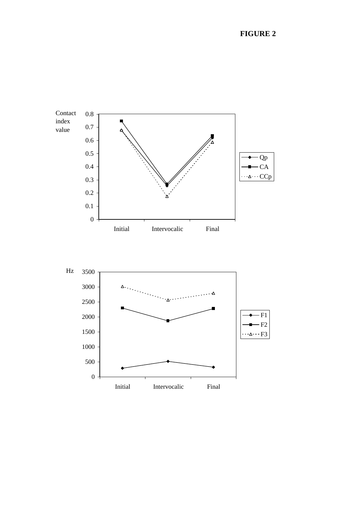

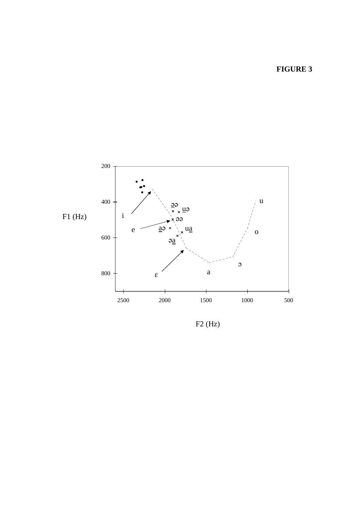**FIGURE 3**



F2 (Hz)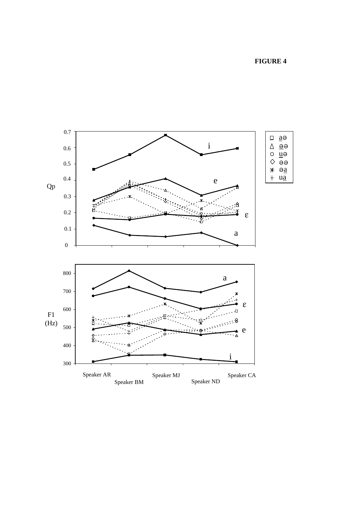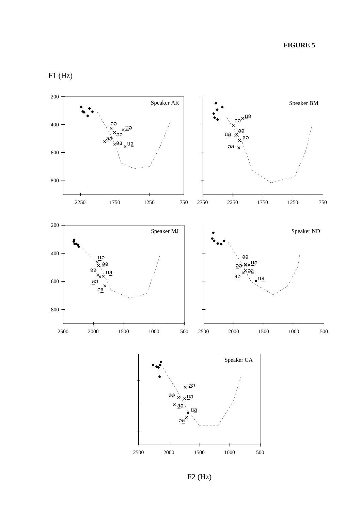F1 (Hz)



F2 (Hz)